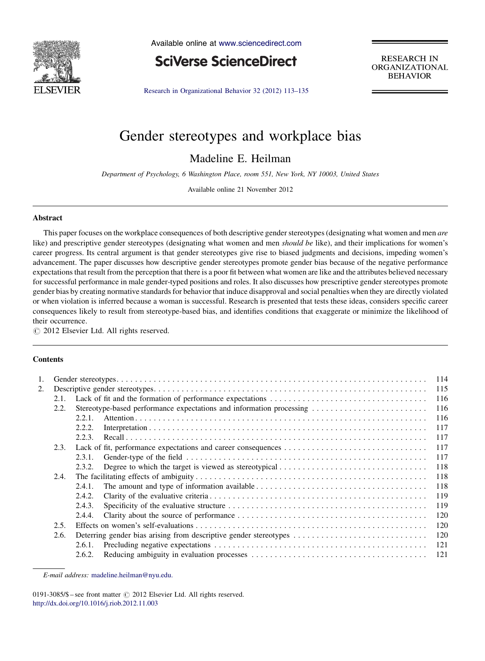

Available online at [www.sciencedirect.com](http://www.sciencedirect.com/science/journal/01913085)

**SciVerse ScienceDirect** 

**RESEARCH IN ORGANIZATIONAL BEHAVIOR** 

Research in [Organizational](http://dx.doi.org/10.1016/j.riob.2012.11.003) Behavior 32 (2012) 113–135

# Gender stereotypes and workplace bias

Madeline E. Heilman

Department of Psychology, 6 Washington Place, room 551, New York, NY 10003, United States

Available online 21 November 2012

## Abstract

This paper focuses on the workplace consequences of both descriptive gender stereotypes (designating what women and men are like) and prescriptive gender stereotypes (designating what women and men *should be* like), and their implications for women's career progress. Its central argument is that gender stereotypes give rise to biased judgments and decisions, impeding women's advancement. The paper discusses how descriptive gender stereotypes promote gender bias because of the negative performance expectationsthat result from the perception that there is a poor fit between what women are like and the attributes believed necessary for successful performance in male gender-typed positions and roles. It also discusses how prescriptive gender stereotypes promote gender bias by creating normative standardsfor behavior that induce disapproval and social penalties when they are directly violated or when violation is inferred because a woman is successful. Research is presented that tests these ideas, considers specific career consequences likely to result from stereotype-based bias, and identifies conditions that exaggerate or minimize the likelihood of their occurrence.

 $\odot$  2012 Elsevier Ltd. All rights reserved.

## **Contents**

| 1.   |      |                                                                   |     |     |  |  |
|------|------|-------------------------------------------------------------------|-----|-----|--|--|
| 2.   |      |                                                                   |     |     |  |  |
|      | 2.1. |                                                                   |     | 116 |  |  |
|      | 2.2. |                                                                   |     | 116 |  |  |
|      |      | 2.2.1                                                             |     | 116 |  |  |
|      |      | 2.2.2.                                                            |     | 117 |  |  |
|      |      | 2.2.3.                                                            |     | 117 |  |  |
|      | 2.3. |                                                                   |     | 117 |  |  |
|      |      | 2.3.1.                                                            |     | 117 |  |  |
|      |      | 2.3.2.                                                            |     | 118 |  |  |
|      | 2.4. |                                                                   |     | 118 |  |  |
|      |      | 2.4.1.                                                            |     | 118 |  |  |
|      |      | 2.4.2.                                                            |     | 119 |  |  |
|      |      | 2.4.3.                                                            |     | 119 |  |  |
|      |      | 2.4.4.                                                            |     | 120 |  |  |
| 2.5. |      |                                                                   | 120 |     |  |  |
|      | 2.6. | Deterring gender bias arising from descriptive gender stereotypes |     | 120 |  |  |
|      |      | 2.6.1.                                                            |     | 121 |  |  |
|      |      | 2.6.2.                                                            |     | 121 |  |  |

E-mail address: [madeline.heilman@nyu.edu](mailto:madeline.heilman@nyu.edu).

<sup>0191-3085/\$ –</sup> see front matter  $\odot$  2012 Elsevier Ltd. All rights reserved. <http://dx.doi.org/10.1016/j.riob.2012.11.003>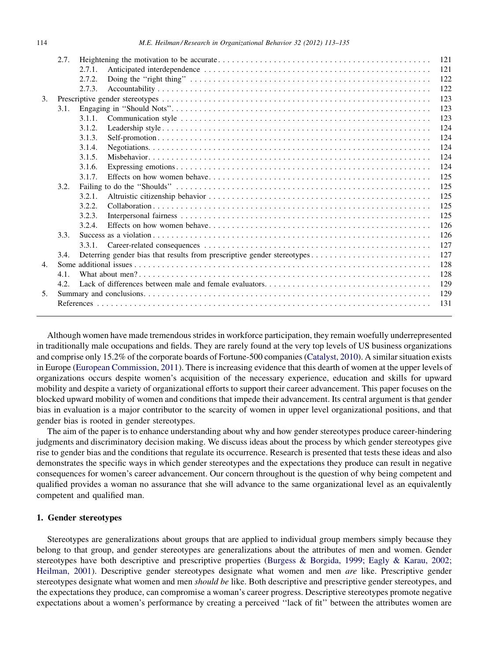|    | 2.7.               |        |                                                                         | 121 |  |  |
|----|--------------------|--------|-------------------------------------------------------------------------|-----|--|--|
|    |                    | 2.7.1. |                                                                         | 121 |  |  |
|    |                    | 2.7.2. |                                                                         | 122 |  |  |
|    |                    | 2.7.3. |                                                                         | 122 |  |  |
| 3. |                    |        |                                                                         | 123 |  |  |
|    | 3.1.               |        |                                                                         | 123 |  |  |
|    |                    | 3.1.1. |                                                                         | 123 |  |  |
|    |                    | 3.1.2. |                                                                         | 124 |  |  |
|    |                    | 3.1.3. |                                                                         | 124 |  |  |
|    |                    | 3.1.4. |                                                                         | 124 |  |  |
|    |                    | 3.1.5. |                                                                         | 124 |  |  |
|    |                    | 3.1.6. |                                                                         | 124 |  |  |
|    |                    | 3.1.7. |                                                                         | 125 |  |  |
|    | 3.2.               |        |                                                                         |     |  |  |
|    |                    | 3.2.1. |                                                                         | 125 |  |  |
|    |                    | 3.2.2. |                                                                         | 125 |  |  |
|    |                    | 3.2.3. |                                                                         | 125 |  |  |
|    |                    | 3.2.4. |                                                                         | 126 |  |  |
|    | 3.3.               |        |                                                                         | 126 |  |  |
|    |                    | 3.3.1. |                                                                         | 127 |  |  |
|    | 3.4.               |        | Deterring gender bias that results from prescriptive gender stereotypes | 127 |  |  |
| 4. |                    |        |                                                                         |     |  |  |
|    | 128<br>4.1.<br>129 |        |                                                                         |     |  |  |
|    | 4.2.               |        |                                                                         |     |  |  |
| 5. |                    |        |                                                                         |     |  |  |
|    | 131                |        |                                                                         |     |  |  |
|    |                    |        |                                                                         |     |  |  |

Although women have made tremendous strides in workforce participation, they remain woefully underrepresented in traditionally male occupations and fields. They are rarely found at the very top levels of US business organizations and comprise only 15.2% of the corporate boards of Fortune-500 companies([Catalyst,](#page-18-0) 2010). A similar situation exists in Europe (European [Commission,](#page-19-0) 2011). There is increasing evidence that this dearth of women at the upper levels of organizations occurs despite women's acquisition of the necessary experience, education and skills for upward mobility and despite a variety of organizational efforts to support their career advancement. This paper focuses on the blocked upward mobility of women and conditions that impede their advancement. Its central argument is that gender bias in evaluation is a major contributor to the scarcity of women in upper level organizational positions, and that gender bias is rooted in gender stereotypes.

The aim of the paper is to enhance understanding about why and how gender stereotypes produce career-hindering judgments and discriminatory decision making. We discuss ideas about the process by which gender stereotypes give rise to gender bias and the conditions that regulate its occurrence. Research is presented that tests these ideas and also demonstrates the specific ways in which gender stereotypes and the expectations they produce can result in negative consequences for women's career advancement. Our concern throughout is the question of why being competent and qualified provides a woman no assurance that she will advance to the same organizational level as an equivalently competent and qualified man.

# 1. Gender stereotypes

Stereotypes are generalizations about groups that are applied to individual group members simply because they belong to that group, and gender stereotypes are generalizations about the attributes of men and women. Gender stereotypes have both descriptive and prescriptive properties (Burgess & [Borgida,](#page-18-0) 1999; Eagly & Karau, 2002; [Heilman,](#page-18-0) 2001). Descriptive gender stereotypes designate what women and men *are* like. Prescriptive gender stereotypes designate what women and men *should be* like. Both descriptive and prescriptive gender stereotypes, and the expectations they produce, can compromise a woman's career progress. Descriptive stereotypes promote negative expectations about a women's performance by creating a perceived ''lack of fit'' between the attributes women are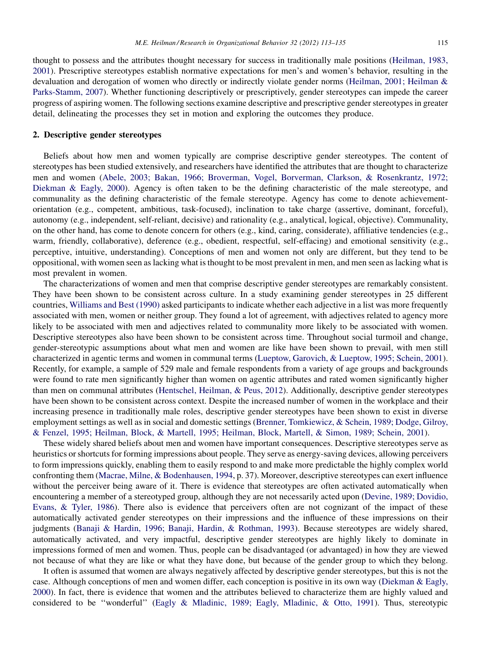thought to possess and the attributes thought necessary for success in traditionally male positions [\(Heilman,](#page-20-0) 1983, [2001\)](#page-20-0). Prescriptive stereotypes establish normative expectations for men's and women's behavior, resulting in the devaluation and derogation of women who directly or indirectly violate gender norms ([Heilman,](#page-20-0) 2001; Heilman & [Parks-Stamm,](#page-20-0) 2007). Whether functioning descriptively or prescriptively, gender stereotypes can impede the career progress of aspiring women. The following sections examine descriptive and prescriptive gender stereotypes in greater detail, delineating the processes they set in motion and exploring the outcomes they produce.

# 2. Descriptive gender stereotypes

Beliefs about how men and women typically are comprise descriptive gender stereotypes. The content of stereotypes has been studied extensively, and researchers have identified the attributes that are thought to characterize men and women (Abele, 2003; Bakan, 1966; Broverman, Vogel, Borverman, Clarkson, & [Rosenkrantz,](#page-18-0) 1972; [Diekman](#page-18-0) & Eagly, 2000). Agency is often taken to be the defining characteristic of the male stereotype, and communality as the defining characteristic of the female stereotype. Agency has come to denote achievementorientation (e.g., competent, ambitious, task-focused), inclination to take charge (assertive, dominant, forceful), autonomy (e.g., independent, self-reliant, decisive) and rationality (e.g., analytical, logical, objective). Communality, on the other hand, has come to denote concern for others (e.g., kind, caring, considerate), affiliative tendencies (e.g., warm, friendly, collaborative), deference (e.g., obedient, respectful, self-effacing) and emotional sensitivity (e.g., perceptive, intuitive, understanding). Conceptions of men and women not only are different, but they tend to be oppositional, with women seen as lacking what is thought to be most prevalent in men, and men seen as lacking what is most prevalent in women.

The characterizations of women and men that comprise descriptive gender stereotypes are remarkably consistent. They have been shown to be consistent across culture. In a study examining gender stereotypes in 25 different countries, [Williams](#page-22-0) and Best (1990) asked participants to indicate whether each adjective in a list was more frequently associated with men, women or neither group. They found a lot of agreement, with adjectives related to agency more likely to be associated with men and adjectives related to communality more likely to be associated with women. Descriptive stereotypes also have been shown to be consistent across time. Throughout social turmoil and change, gender-stereotypic assumptions about what men and women are like have been shown to prevail, with men still characterized in agentic terms and women in communal terms (Lueptow, [Garovich,](#page-21-0) & Lueptow, 1995; Schein, 2001). Recently, for example, a sample of 529 male and female respondents from a variety of age groups and backgrounds were found to rate men significantly higher than women on agentic attributes and rated women significantly higher than men on communal attributes [\(Hentschel,](#page-20-0) Heilman, & Peus, 2012). Additionally, descriptive gender stereotypes have been shown to be consistent across context. Despite the increased number of women in the workplace and their increasing presence in traditionally male roles, descriptive gender stereotypes have been shown to exist in diverse employment settings as well as in social and domestic settings (Brenner, [Tomkiewicz,](#page-18-0) & Schein, 1989; Dodge, Gilroy, & Fenzel, 1995; Heilman, Block, & Martell, 1995; [Heilman,](#page-18-0) Block, Martell, & Simon, 1989; Schein, 2001).

These widely shared beliefs about men and women have important consequences. Descriptive stereotypes serve as heuristics or shortcuts for forming impressions about people. They serve as energy-saving devices, allowing perceivers to form impressions quickly, enabling them to easily respond to and make more predictable the highly complex world confronting them (Macrae, Milne, & [Bodenhausen,](#page-21-0) 1994, p. 37). Moreover, descriptive stereotypes can exert influence without the perceiver being aware of it. There is evidence that stereotypes are often activated automatically when encountering a member of a stereotyped group, although they are not necessarily acted upon (Devine, 1989; [Dovidio,](#page-19-0) [Evans,](#page-19-0) & Tyler, 1986). There also is evidence that perceivers often are not cognizant of the impact of these automatically activated gender stereotypes on their impressions and the influence of these impressions on their judgments (Banaji & Hardin, 1996; Banaji, Hardin, & [Rothman,](#page-18-0) 1993). Because stereotypes are widely shared, automatically activated, and very impactful, descriptive gender stereotypes are highly likely to dominate in impressions formed of men and women. Thus, people can be disadvantaged (or advantaged) in how they are viewed not because of what they are like or what they have done, but because of the gender group to which they belong.

It often is assumed that women are always negatively affected by descriptive gender stereotypes, but this is not the case. Although conceptions of men and women differ, each conception is positive in its own way ([Diekman](#page-19-0) & Eagly, [2000\)](#page-19-0). In fact, there is evidence that women and the attributes believed to characterize them are highly valued and considered to be ''wonderful'' (Eagly & Mladinic, 1989; Eagly, [Mladinic,](#page-19-0) & Otto, 1991). Thus, stereotypic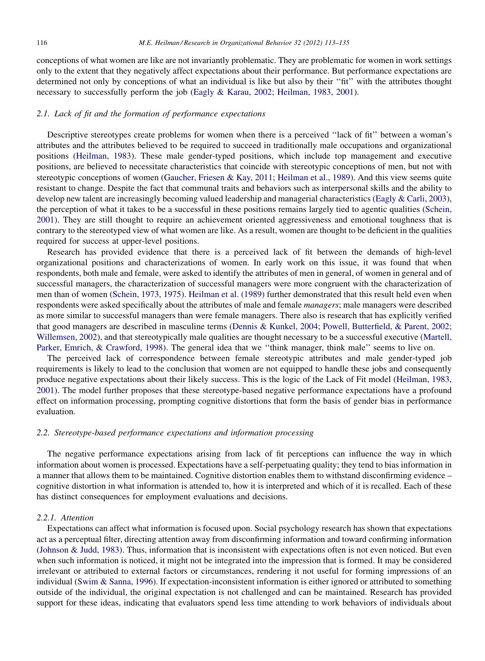conceptions of what women are like are not invariantly problematic. They are problematic for women in work settings only to the extent that they negatively affect expectations about their performance. But performance expectations are determined not only by conceptions of what an individual is like but also by their ''fit'' with the attributes thought necessary to successfully perform the job (Eagly & Karau, 2002; [Heilman,](#page-19-0) 1983, 2001).

## 2.1. Lack of fit and the formation of performance expectations

Descriptive stereotypes create problems for women when there is a perceived ''lack of fit'' between a woman's attributes and the attributes believed to be required to succeed in traditionally male occupations and organizational positions [\(Heilman,](#page-20-0) 1983). These male gender-typed positions, which include top management and executive positions, are believed to necessitate characteristics that coincide with stereotypic conceptions of men, but not with stereotypic conceptions of women [\(Gaucher,](#page-19-0) Friesen & Kay, 2011; Heilman et al., 1989). And this view seems quite resistant to change. Despite the fact that communal traits and behaviors such as interpersonal skills and the ability to develop new talent are increasingly becoming valued leadership and managerial characteristics ([Eagly](#page-19-0) & Carli, 2003), the perception of what it takes to be a successful in these positions remains largely tied to agentic qualities ([Schein,](#page-22-0) [2001](#page-22-0)). They are still thought to require an achievement oriented aggressiveness and emotional toughness that is contrary to the stereotyped view of what women are like. As a result, women are thought to be deficient in the qualities required for success at upper-level positions.

Research has provided evidence that there is a perceived lack of fit between the demands of high-level organizational positions and characterizations of women. In early work on this issue, it was found that when respondents, both male and female, were asked to identify the attributes of men in general, of women in general and of successful managers, the characterization of successful managers were more congruent with the characterization of men than of women [\(Schein,](#page-22-0) 1973, 1975). [Heilman](#page-20-0) et al. (1989) further demonstrated that this result held even when respondents were asked specifically about the attributes of male and female managers; male managers were described as more similar to successful managers than were female managers. There also is research that has explicitly verified that good managers are described in masculine terms (Dennis & Kunkel, 2004; Powell, [Butterfield,](#page-19-0) & Parent, 2002; [Willemsen,](#page-19-0) 2002), and that stereotypically male qualities are thought necessary to be a successful executive [\(Martell,](#page-21-0) Parker, Emrich, & [Crawford,](#page-21-0) 1998). The general idea that we ''think manager, think male'' seems to live on.

The perceived lack of correspondence between female stereotypic attributes and male gender-typed job requirements is likely to lead to the conclusion that women are not equipped to handle these jobs and consequently produce negative expectations about their likely success. This is the logic of the Lack of Fit model [\(Heilman,](#page-20-0) 1983, [2001](#page-20-0)). The model further proposes that these stereotype-based negative performance expectations have a profound effect on information processing, prompting cognitive distortions that form the basis of gender bias in performance evaluation.

# 2.2. Stereotype-based performance expectations and information processing

The negative performance expectations arising from lack of fit perceptions can influence the way in which information about women is processed. Expectations have a self-perpetuating quality; they tend to bias information in a manner that allows them to be maintained. Cognitive distortion enables them to withstand disconfirming evidence – cognitive distortion in what information is attended to, how it is interpreted and which of it is recalled. Each of these has distinct consequences for employment evaluations and decisions.

## 2.2.1. Attention

Expectations can affect what information is focused upon. Social psychology research has shown that expectations act as a perceptual filter, directing attention away from disconfirming information and toward confirming information [\(Johnson](#page-20-0) & Judd, 1983). Thus, information that is inconsistent with expectations often is not even noticed. But even when such information is noticed, it might not be integrated into the impression that is formed. It may be considered irrelevant or attributed to external factors or circumstances, rendering it not useful for forming impressions of an individual (Swim & [Sanna,](#page-22-0) 1996). If expectation-inconsistent information is either ignored or attributed to something outside of the individual, the original expectation is not challenged and can be maintained. Research has provided support for these ideas, indicating that evaluators spend less time attending to work behaviors of individuals about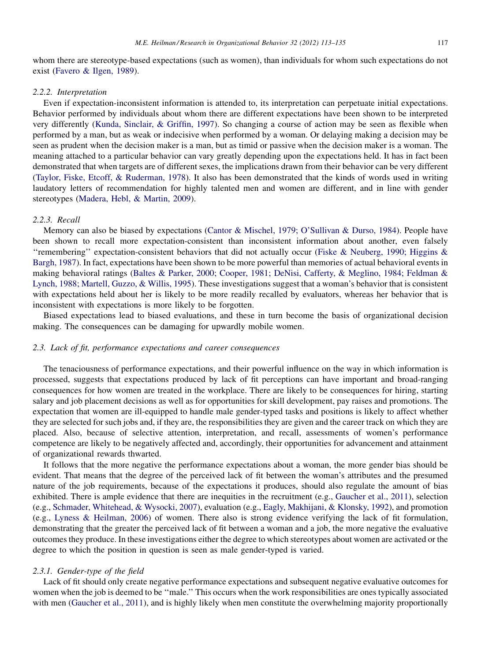whom there are stereotype-based expectations (such as women), than individuals for whom such expectations do not exist [\(Favero](#page-19-0) & Ilgen, 1989).

# 2.2.2. Interpretation

Even if expectation-inconsistent information is attended to, its interpretation can perpetuate initial expectations. Behavior performed by individuals about whom there are different expectations have been shown to be interpreted very differently (Kunda, [Sinclair,](#page-21-0) & Griffin, 1997). So changing a course of action may be seen as flexible when performed by a man, but as weak or indecisive when performed by a woman. Or delaying making a decision may be seen as prudent when the decision maker is a man, but as timid or passive when the decision maker is a woman. The meaning attached to a particular behavior can vary greatly depending upon the expectations held. It has in fact been demonstrated that when targets are of different sexes, the implications drawn from their behavior can be very different (Taylor, Fiske, Etcoff, & [Ruderman,](#page-22-0) 1978). It also has been demonstrated that the kinds of words used in writing laudatory letters of recommendation for highly talented men and women are different, and in line with gender stereotypes [\(Madera,](#page-21-0) Hebl, & Martin, 2009).

# 2.2.3. Recall

Memory can also be biased by expectations (Cantor & Mischel, 1979; [O'Sullivan](#page-18-0) & Durso, 1984). People have been shown to recall more expectation-consistent than inconsistent information about another, even falsely ''remembering'' expectation-consistent behaviors that did not actually occur (Fiske & [Neuberg,](#page-19-0) 1990; Higgins & [Bargh,](#page-19-0) 1987). In fact, expectations have been shown to be more powerful than memories of actual behavioral events in making behavioral ratings (Baltes & Parker, 2000; Cooper, 1981; DeNisi, Cafferty, & [Meglino,](#page-18-0) 1984; Feldman & Lynch, 1988; [Martell,](#page-18-0) Guzzo, & Willis, 1995). These investigations suggest that a woman's behavior that is consistent with expectations held about her is likely to be more readily recalled by evaluators, whereas her behavior that is inconsistent with expectations is more likely to be forgotten.

Biased expectations lead to biased evaluations, and these in turn become the basis of organizational decision making. The consequences can be damaging for upwardly mobile women.

# 2.3. Lack of fit, performance expectations and career consequences

The tenaciousness of performance expectations, and their powerful influence on the way in which information is processed, suggests that expectations produced by lack of fit perceptions can have important and broad-ranging consequences for how women are treated in the workplace. There are likely to be consequences for hiring, starting salary and job placement decisions as well as for opportunities for skill development, pay raises and promotions. The expectation that women are ill-equipped to handle male gender-typed tasks and positions is likely to affect whether they are selected for such jobs and, if they are, the responsibilities they are given and the career track on which they are placed. Also, because of selective attention, interpretation, and recall, assessments of women's performance competence are likely to be negatively affected and, accordingly, their opportunities for advancement and attainment of organizational rewards thwarted.

It follows that the more negative the performance expectations about a woman, the more gender bias should be evident. That means that the degree of the perceived lack of fit between the woman's attributes and the presumed nature of the job requirements, because of the expectations it produces, should also regulate the amount of bias exhibited. There is ample evidence that there are inequities in the recruitment (e.g., [Gaucher](#page-19-0) et al., 2011), selection (e.g., Schmader, [Whitehead,](#page-22-0) & Wysocki, 2007), evaluation (e.g., Eagly, [Makhijani,](#page-19-0) & Klonsky, 1992), and promotion (e.g., Lyness & [Heilman,](#page-21-0) 2006) of women. There also is strong evidence verifying the lack of fit formulation, demonstrating that the greater the perceived lack of fit between a woman and a job, the more negative the evaluative outcomes they produce. In these investigations either the degree to which stereotypes about women are activated or the degree to which the position in question is seen as male gender-typed is varied.

## 2.3.1. Gender-type of the field

Lack of fit should only create negative performance expectations and subsequent negative evaluative outcomes for women when the job is deemed to be ''male.'' This occurs when the work responsibilities are ones typically associated with men [\(Gaucher](#page-19-0) et al., 2011), and is highly likely when men constitute the overwhelming majority proportionally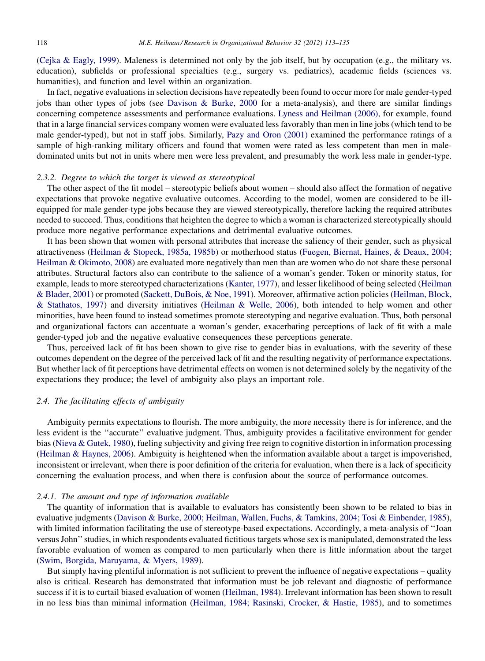(Cejka & [Eagly,](#page-18-0) 1999). Maleness is determined not only by the job itself, but by occupation (e.g., the military vs. education), subfields or professional specialties (e.g., surgery vs. pediatrics), academic fields (sciences vs. humanities), and function and level within an organization.

In fact, negative evaluations in selection decisions have repeatedly been found to occur more for male gender-typed jobs than other types of jobs (see [Davison](#page-19-0) & Burke, 2000 for a meta-analysis), and there are similar findings concerning competence assessments and performance evaluations. Lyness and [Heilman](#page-21-0) (2006), for example, found that in a large financial services company women were evaluated less favorably than men in line jobs (which tend to be male gender-typed), but not in staff jobs. Similarly, Pazy and Oron [\(2001\)](#page-21-0) examined the performance ratings of a sample of high-ranking military officers and found that women were rated as less competent than men in maledominated units but not in units where men were less prevalent, and presumably the work less male in gender-type.

# 2.3.2. Degree to which the target is viewed as stereotypical

The other aspect of the fit model – stereotypic beliefs about women – should also affect the formation of negative expectations that provoke negative evaluative outcomes. According to the model, women are considered to be illequipped for male gender-type jobs because they are viewed stereotypically, therefore lacking the required attributes needed to succeed. Thus, conditions that heighten the degree to which a woman is characterized stereotypically should produce more negative performance expectations and detrimental evaluative outcomes.

It has been shown that women with personal attributes that increase the saliency of their gender, such as physical attractiveness (Heilman & [Stopeck,](#page-20-0) 1985a, 1985b) or motherhood status (Fuegen, [Biernat,](#page-19-0) Haines, & Deaux, 2004; Heilman & [Okimoto,](#page-19-0) 2008) are evaluated more negatively than men than are women who do not share these personal attributes. Structural factors also can contribute to the salience of a woman's gender. Token or minority status, for example, leads to more stereotyped characterizations ([Kanter,](#page-20-0) 1977), and lesser likelihood of being selected ([Heilman](#page-20-0) & [Blader,](#page-20-0) 2001) or promoted (Sackett, [DuBois,](#page-22-0) & Noe, 1991). Moreover, affirmative action policies ([Heilman,](#page-20-0) Block, & [Stathatos,](#page-20-0) 1997) and diversity initiatives ([Heilman](#page-20-0) & Welle, 2006), both intended to help women and other minorities, have been found to instead sometimes promote stereotyping and negative evaluation. Thus, both personal and organizational factors can accentuate a woman's gender, exacerbating perceptions of lack of fit with a male gender-typed job and the negative evaluative consequences these perceptions generate.

Thus, perceived lack of fit has been shown to give rise to gender bias in evaluations, with the severity of these outcomes dependent on the degree of the perceived lack of fit and the resulting negativity of performance expectations. But whether lack of fit perceptions have detrimental effects on women is not determined solely by the negativity of the expectations they produce; the level of ambiguity also plays an important role.

# 2.4. The facilitating effects of ambiguity

Ambiguity permits expectations to flourish. The more ambiguity, the more necessity there is for inference, and the less evident is the ''accurate'' evaluative judgment. Thus, ambiguity provides a facilitative environment for gender bias (Nieva & [Gutek,](#page-21-0) 1980), fueling subjectivity and giving free reign to cognitive distortion in information processing [\(Heilman](#page-20-0) & Haynes, 2006). Ambiguity is heightened when the information available about a target is impoverished, inconsistent or irrelevant, when there is poor definition of the criteria for evaluation, when there is a lack of specificity concerning the evaluation process, and when there is confusion about the source of performance outcomes.

## 2.4.1. The amount and type of information available

The quantity of information that is available to evaluators has consistently been shown to be related to bias in evaluative judgments (Davison & Burke, 2000; Heilman, Wallen, Fuchs, & Tamkins, 2004; Tosi & [Einbender,](#page-19-0) 1985), with limited information facilitating the use of stereotype-based expectations. Accordingly, a meta-analysis of ''Joan versus John" studies, in which respondents evaluated fictitious targets whose sex is manipulated, demonstrated the less favorable evaluation of women as compared to men particularly when there is little information about the target (Swim, Borgida, [Maruyama,](#page-22-0) & Myers, 1989).

But simply having plentiful information is not sufficient to prevent the influence of negative expectations – quality also is critical. Research has demonstrated that information must be job relevant and diagnostic of performance success if it is to curtail biased evaluation of women ([Heilman,](#page-20-0) 1984). Irrelevant information has been shown to result in no less bias than minimal information (Heilman, 1984; [Rasinski,](#page-20-0) Crocker, & Hastie, 1985), and to sometimes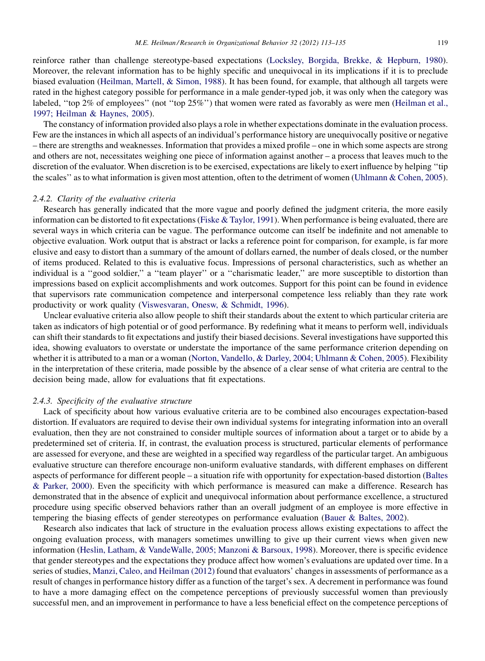reinforce rather than challenge stereotype-based expectations ([Locksley,](#page-21-0) Borgida, Brekke, & Hepburn, 1980). Moreover, the relevant information has to be highly specific and unequivocal in its implications if it is to preclude biased evaluation ([Heilman,](#page-20-0) Martell, & Simon, 1988). It has been found, for example, that although all targets were rated in the highest category possible for performance in a male gender-typed job, it was only when the category was labeled, "top 2% of employees" (not "top 25%") that women were rated as favorably as were men ([Heilman](#page-20-0) et al., 1997; [Heilman](#page-20-0) & Haynes, 2005).

The constancy of information provided also plays a role in whether expectations dominate in the evaluation process. Few are the instancesin which all aspects of an individual's performance history are unequivocally positive or negative – there are strengths and weaknesses. Information that provides a mixed profile – one in which some aspects are strong and others are not, necessitates weighing one piece of information against another – a process that leaves much to the discretion of the evaluator. When discretion isto be exercised, expectations are likely to exert influence by helping ''tip the scales'' asto what information is given most attention, often to the detriment of women ([Uhlmann](#page-22-0) & Cohen, 2005).

#### 2.4.2. Clarity of the evaluative criteria

Research has generally indicated that the more vague and poorly defined the judgment criteria, the more easily information can be distorted to fit expectations(Fiske & [Taylor,](#page-19-0) 1991). When performance is being evaluated, there are several ways in which criteria can be vague. The performance outcome can itself be indefinite and not amenable to objective evaluation. Work output that is abstract or lacks a reference point for comparison, for example, is far more elusive and easy to distort than a summary of the amount of dollars earned, the number of deals closed, or the number of items produced. Related to this is evaluative focus. Impressions of personal characteristics, such as whether an individual is a "good soldier," a "team player" or a "charismatic leader," are more susceptible to distortion than impressions based on explicit accomplishments and work outcomes. Support for this point can be found in evidence that supervisors rate communication competence and interpersonal competence less reliably than they rate work productivity or work quality ([Viswesvaran,](#page-22-0) Onesw, & Schmidt, 1996).

Unclear evaluative criteria also allow people to shift their standards about the extent to which particular criteria are taken as indicators of high potential or of good performance. By redefining what it means to perform well, individuals can shift their standards to fit expectations and justify their biased decisions. Several investigations have supported this idea, showing evaluators to overstate or understate the importance of the same performance criterion depending on whether it is attributed to a man or a woman (Norton, [Vandello,](#page-21-0) & Darley, 2004; Uhlmann & Cohen, 2005). Flexibility in the interpretation of these criteria, made possible by the absence of a clear sense of what criteria are central to the decision being made, allow for evaluations that fit expectations.

#### 2.4.3. Specificity of the evaluative structure

Lack of specificity about how various evaluative criteria are to be combined also encourages expectation-based distortion. If evaluators are required to devise their own individual systems for integrating information into an overall evaluation, then they are not constrained to consider multiple sources of information about a target or to abide by a predetermined set of criteria. If, in contrast, the evaluation process is structured, particular elements of performance are assessed for everyone, and these are weighted in a specified way regardless of the particular target. An ambiguous evaluative structure can therefore encourage non-uniform evaluative standards, with different emphases on different aspects of performance for different people – a situation rife with opportunity for expectation-based distortion [\(Baltes](#page-18-0) & [Parker,](#page-18-0) 2000). Even the specificity with which performance is measured can make a difference. Research has demonstrated that in the absence of explicit and unequivocal information about performance excellence, a structured procedure using specific observed behaviors rather than an overall judgment of an employee is more effective in tempering the biasing effects of gender stereotypes on performance evaluation (Bauer & [Baltes,](#page-18-0) 2002).

Research also indicates that lack of structure in the evaluation process allows existing expectations to affect the ongoing evaluation process, with managers sometimes unwilling to give up their current views when given new information (Heslin, Latham, & [VandeWalle,](#page-20-0) 2005; Manzoni & Barsoux, 1998). Moreover, there is specific evidence that gender stereotypes and the expectations they produce affect how women's evaluations are updated over time. In a series of studies, Manzi, Caleo, and [Heilman](#page-21-0) (2012) found that evaluators' changes in assessments of performance as a result of changes in performance history differ as a function of the target's sex. A decrement in performance was found to have a more damaging effect on the competence perceptions of previously successful women than previously successful men, and an improvement in performance to have a less beneficial effect on the competence perceptions of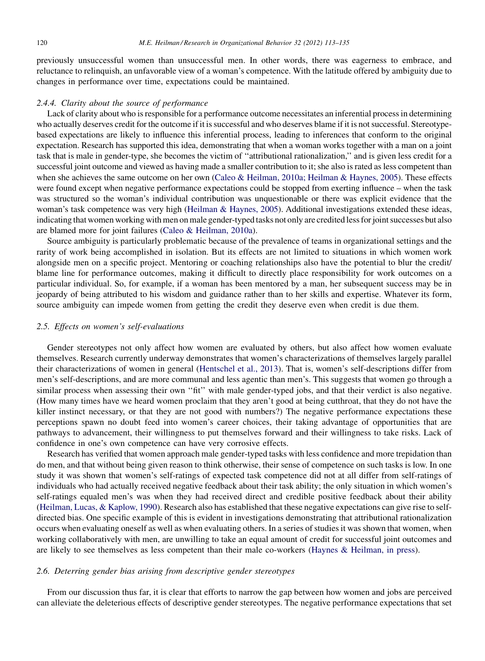previously unsuccessful women than unsuccessful men. In other words, there was eagerness to embrace, and reluctance to relinquish, an unfavorable view of a woman's competence. With the latitude offered by ambiguity due to changes in performance over time, expectations could be maintained.

#### 2.4.4. Clarity about the source of performance

Lack of clarity about who is responsible for a performance outcome necessitates an inferential process in determining who actually deserves credit for the outcome if it is successful and who deserves blame if it is not successful. Stereotypebased expectations are likely to influence this inferential process, leading to inferences that conform to the original expectation. Research has supported this idea, demonstrating that when a woman works together with a man on a joint task that is male in gender-type, she becomes the victim of ''attributional rationalization,'' and is given less credit for a successful joint outcome and viewed as having made a smaller contribution to it; she also is rated as less competent than when she achieves the same outcome on her own (Caleo & [Heilman,](#page-18-0) 2010a; Heilman & Haynes, 2005). These effects were found except when negative performance expectations could be stopped from exerting influence – when the task was structured so the woman's individual contribution was unquestionable or there was explicit evidence that the woman's task competence was very high [\(Heilman](#page-20-0) & Haynes, 2005). Additional investigations extended these ideas, indicating that women working with men on male gender-typed tasks not only are credited less for joint successes but also are blamed more for joint failures (Caleo & [Heilman,](#page-18-0) 2010a).

Source ambiguity is particularly problematic because of the prevalence of teams in organizational settings and the rarity of work being accomplished in isolation. But its effects are not limited to situations in which women work alongside men on a specific project. Mentoring or coaching relationships also have the potential to blur the credit/ blame line for performance outcomes, making it difficult to directly place responsibility for work outcomes on a particular individual. So, for example, if a woman has been mentored by a man, her subsequent success may be in jeopardy of being attributed to his wisdom and guidance rather than to her skills and expertise. Whatever its form, source ambiguity can impede women from getting the credit they deserve even when credit is due them.

# 2.5. Effects on women's self-evaluations

Gender stereotypes not only affect how women are evaluated by others, but also affect how women evaluate themselves. Research currently underway demonstrates that women's characterizations of themselves largely parallel their characterizations of women in general ([Hentschel](#page-20-0) et al., 2013). That is, women's self-descriptions differ from men's self-descriptions, and are more communal and less agentic than men's. This suggests that women go through a similar process when assessing their own "fit" with male gender-typed jobs, and that their verdict is also negative. (How many times have we heard women proclaim that they aren't good at being cutthroat, that they do not have the killer instinct necessary, or that they are not good with numbers?) The negative performance expectations these perceptions spawn no doubt feed into women's career choices, their taking advantage of opportunities that are pathways to advancement, their willingness to put themselves forward and their willingness to take risks. Lack of confidence in one's own competence can have very corrosive effects.

Research has verified that women approach male gender-typed tasks with less confidence and more trepidation than do men, and that without being given reason to think otherwise, their sense of competence on such tasks is low. In one study it was shown that women's self-ratings of expected task competence did not at all differ from self-ratings of individuals who had actually received negative feedback about their task ability; the only situation in which women's self-ratings equaled men's was when they had received direct and credible positive feedback about their ability [\(Heilman,](#page-20-0) Lucas, & Kaplow, 1990). Research also has established that these negative expectations can give rise to selfdirected bias. One specific example of this is evident in investigations demonstrating that attributional rationalization occurs when evaluating oneself as well as when evaluating others. In a series ofstudiesit wasshown that women, when working collaboratively with men, are unwilling to take an equal amount of credit for successful joint outcomes and are likely to see themselves as less competent than their male co-workers (Haynes & [Heilman,](#page-20-0) in press).

# 2.6. Deterring gender bias arising from descriptive gender stereotypes

From our discussion thus far, it is clear that efforts to narrow the gap between how women and jobs are perceived can alleviate the deleterious effects of descriptive gender stereotypes. The negative performance expectations that set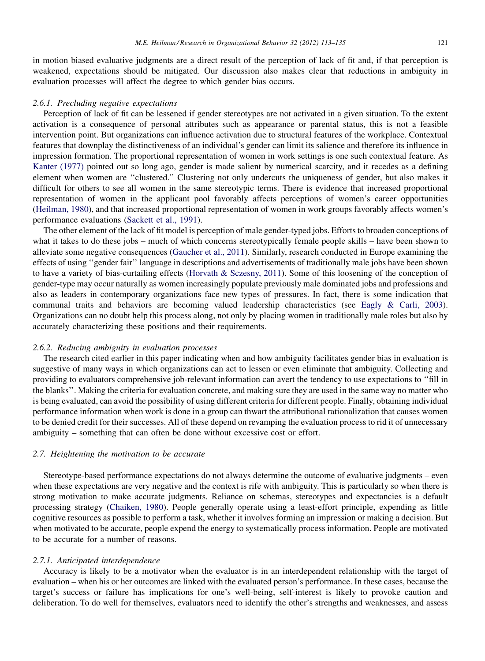in motion biased evaluative judgments are a direct result of the perception of lack of fit and, if that perception is weakened, expectations should be mitigated. Our discussion also makes clear that reductions in ambiguity in evaluation processes will affect the degree to which gender bias occurs.

#### 2.6.1. Precluding negative expectations

Perception of lack of fit can be lessened if gender stereotypes are not activated in a given situation. To the extent activation is a consequence of personal attributes such as appearance or parental status, this is not a feasible intervention point. But organizations can influence activation due to structural features of the workplace. Contextual features that downplay the distinctiveness of an individual's gender can limit its salience and therefore its influence in impression formation. The proportional representation of women in work settings is one such contextual feature. As [Kanter](#page-20-0) (1977) pointed out so long ago, gender is made salient by numerical scarcity, and it recedes as a defining element when women are ''clustered.'' Clustering not only undercuts the uniqueness of gender, but also makes it difficult for others to see all women in the same stereotypic terms. There is evidence that increased proportional representation of women in the applicant pool favorably affects perceptions of women's career opportunities [\(Heilman,](#page-20-0) 1980), and that increased proportional representation of women in work groups favorably affects women's performance evaluations ([Sackett](#page-22-0) et al., 1991).

The other element of the lack of fit model is perception of male gender-typed jobs. Efforts to broaden conceptions of what it takes to do these jobs – much of which concerns stereotypically female people skills – have been shown to alleviate some negative consequences ([Gaucher](#page-19-0) et al., 2011). Similarly, research conducted in Europe examining the effects of using ''gender fair'' language in descriptions and advertisements of traditionally male jobs have been shown to have a variety of bias-curtailing effects (Horvath & [Sczesny,](#page-20-0) 2011). Some of this loosening of the conception of gender-type may occur naturally as women increasingly populate previously male dominated jobs and professions and also as leaders in contemporary organizations face new types of pressures. In fact, there is some indication that communal traits and behaviors are becoming valued leadership characteristics (see [Eagly](#page-19-0) & Carli, 2003). Organizations can no doubt help this process along, not only by placing women in traditionally male roles but also by accurately characterizing these positions and their requirements.

## 2.6.2. Reducing ambiguity in evaluation processes

The research cited earlier in this paper indicating when and how ambiguity facilitates gender bias in evaluation is suggestive of many ways in which organizations can act to lessen or even eliminate that ambiguity. Collecting and providing to evaluators comprehensive job-relevant information can avert the tendency to use expectations to ''fill in the blanks''. Making the criteria for evaluation concrete, and making sure they are used in the same way no matter who is being evaluated, can avoid the possibility of using different criteria for different people. Finally, obtaining individual performance information when work is done in a group can thwart the attributional rationalization that causes women to be denied credit for their successes. All of these depend on revamping the evaluation process to rid it of unnecessary ambiguity – something that can often be done without excessive cost or effort.

#### 2.7. Heightening the motivation to be accurate

Stereotype-based performance expectations do not always determine the outcome of evaluative judgments – even when these expectations are very negative and the context is rife with ambiguity. This is particularly so when there is strong motivation to make accurate judgments. Reliance on schemas, stereotypes and expectancies is a default processing strategy [\(Chaiken,](#page-19-0) 1980). People generally operate using a least-effort principle, expending as little cognitive resources as possible to perform a task, whether it involves forming an impression or making a decision. But when motivated to be accurate, people expend the energy to systematically process information. People are motivated to be accurate for a number of reasons.

## 2.7.1. Anticipated interdependence

Accuracy is likely to be a motivator when the evaluator is in an interdependent relationship with the target of evaluation – when his or her outcomes are linked with the evaluated person's performance. In these cases, because the target's success or failure has implications for one's well-being, self-interest is likely to provoke caution and deliberation. To do well for themselves, evaluators need to identify the other's strengths and weaknesses, and assess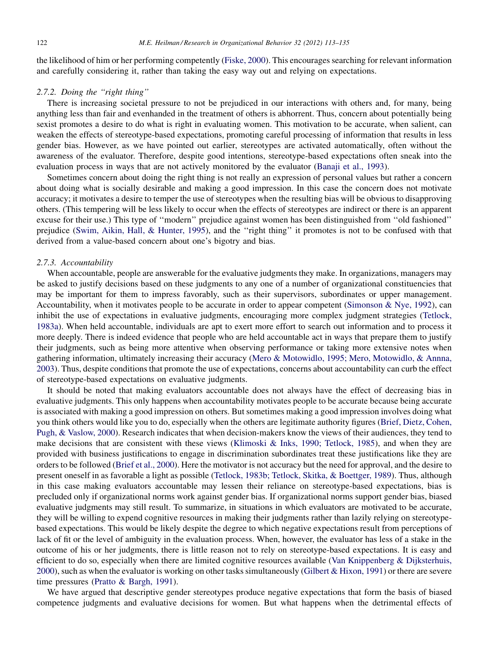the likelihood of him or her performing competently [\(Fiske,](#page-19-0) 2000). This encourages searching for relevant information and carefully considering it, rather than taking the easy way out and relying on expectations.

# 2.7.2. Doing the ''right thing''

There is increasing societal pressure to not be prejudiced in our interactions with others and, for many, being anything less than fair and evenhanded in the treatment of others is abhorrent. Thus, concern about potentially being sexist promotes a desire to do what is right in evaluating women. This motivation to be accurate, when salient, can weaken the effects of stereotype-based expectations, promoting careful processing of information that results in less gender bias. However, as we have pointed out earlier, stereotypes are activated automatically, often without the awareness of the evaluator. Therefore, despite good intentions, stereotype-based expectations often sneak into the evaluation process in ways that are not actively monitored by the evaluator ([Banaji](#page-18-0) et al., 1993).

Sometimes concern about doing the right thing is not really an expression of personal values but rather a concern about doing what is socially desirable and making a good impression. In this case the concern does not motivate accuracy; it motivates a desire to temper the use of stereotypes when the resulting bias will be obvious to disapproving others. (This tempering will be less likely to occur when the effects of stereotypes are indirect or there is an apparent excuse for their use.) This type of ''modern'' prejudice against women has been distinguished from ''old fashioned'' prejudice (Swim, Aikin, Hall, & [Hunter,](#page-22-0) 1995), and the ''right thing'' it promotes is not to be confused with that derived from a value-based concern about one's bigotry and bias.

# 2.7.3. Accountability

When accountable, people are answerable for the evaluative judgments they make. In organizations, managers may be asked to justify decisions based on these judgments to any one of a number of organizational constituencies that may be important for them to impress favorably, such as their supervisors, subordinates or upper management. Accountability, when it motivates people to be accurate in order to appear competent ([Simonson](#page-22-0) & Nye, 1992), can inhibit the use of expectations in evaluative judgments, encouraging more complex judgment strategies ([Tetlock,](#page-22-0) [1983a\)](#page-22-0). When held accountable, individuals are apt to exert more effort to search out information and to process it more deeply. There is indeed evidence that people who are held accountable act in ways that prepare them to justify their judgments, such as being more attentive when observing performance or taking more extensive notes when gathering information, ultimately increasing their accuracy (Mero & [Motowidlo,](#page-21-0) 1995; Mero, Motowidlo, & Annna, [2003](#page-21-0)). Thus, despite conditions that promote the use of expectations, concerns about accountability can curb the effect of stereotype-based expectations on evaluative judgments.

It should be noted that making evaluators accountable does not always have the effect of decreasing bias in evaluative judgments. This only happens when accountability motivates people to be accurate because being accurate is associated with making a good impression on others. But sometimes making a good impression involves doing what you think others would like you to do, especially when the others are legitimate authority figures (Brief, Dietz, [Cohen,](#page-18-0) Pugh, & [Vaslow,](#page-18-0) 2000). Research indicates that when decision-makers know the views of their audiences, they tend to make decisions that are consistent with these views [\(Klimoski](#page-21-0) & Inks, 1990; Tetlock, 1985), and when they are provided with business justifications to engage in discrimination subordinates treat these justifications like they are orders to be followed ([Brief](#page-18-0) et al., 2000). Here the motivator is not accuracy but the need for approval, and the desire to present oneself in as favorable a light as possible (Tetlock, 1983b; Tetlock, Skitka, & [Boettger,](#page-22-0) 1989). Thus, although in this case making evaluators accountable may lessen their reliance on stereotype-based expectations, bias is precluded only if organizational norms work against gender bias. If organizational norms support gender bias, biased evaluative judgments may still result. To summarize, in situations in which evaluators are motivated to be accurate, they will be willing to expend cognitive resources in making their judgments rather than lazily relying on stereotypebased expectations. This would be likely despite the degree to which negative expectations result from perceptions of lack of fit or the level of ambiguity in the evaluation process. When, however, the evaluator has less of a stake in the outcome of his or her judgments, there is little reason not to rely on stereotype-based expectations. It is easy and efficient to do so, especially when there are limited cognitive resources available (Van [Knippenberg](#page-22-0) & Dijksterhuis,  $2000$ ), such as when the evaluator is working on other tasks simultaneously [\(Gilbert](#page-19-0) & Hixon, 1991) or there are severe time pressures (Pratto & [Bargh,](#page-21-0) 1991).

We have argued that descriptive gender stereotypes produce negative expectations that form the basis of biased competence judgments and evaluative decisions for women. But what happens when the detrimental effects of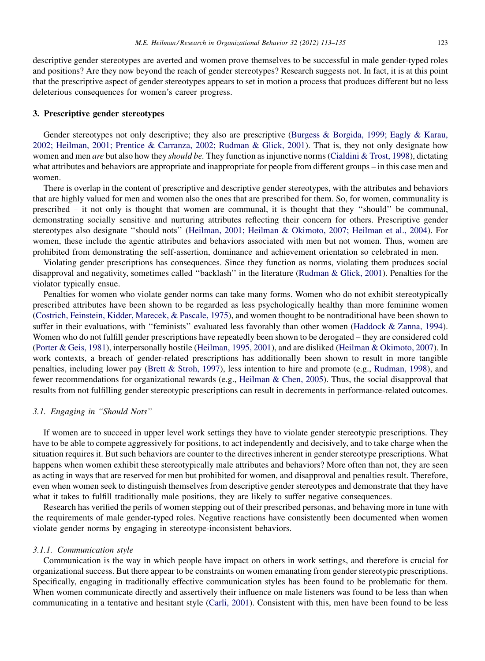descriptive gender stereotypes are averted and women prove themselves to be successful in male gender-typed roles and positions? Are they now beyond the reach of gender stereotypes? Research suggests not. In fact, it is at this point that the prescriptive aspect of gender stereotypes appears to set in motion a process that produces different but no less deleterious consequences for women's career progress.

## 3. Prescriptive gender stereotypes

Gender stereotypes not only descriptive; they also are prescriptive (Burgess & [Borgida,](#page-18-0) 1999; Eagly & Karau, 2002; Heilman, 2001; Prentice & [Carranza,](#page-18-0) 2002; Rudman & Glick, 2001). That is, they not only designate how women and men are but also how they *should be*. They function as injunctive norms [\(Cialdini](#page-19-0) & Trost, 1998), dictating what attributes and behaviors are appropriate and inappropriate for people from different groups – in this case men and women.

There is overlap in the content of prescriptive and descriptive gender stereotypes, with the attributes and behaviors that are highly valued for men and women also the ones that are prescribed for them. So, for women, communality is prescribed – it not only is thought that women are communal, it is thought that they ''should'' be communal, demonstrating socially sensitive and nurturing attributes reflecting their concern for others. Prescriptive gender stereotypes also designate ''should nots'' (Heilman, 2001; Heilman & [Okimoto,](#page-20-0) 2007; Heilman et al., 2004). For women, these include the agentic attributes and behaviors associated with men but not women. Thus, women are prohibited from demonstrating the self-assertion, dominance and achievement orientation so celebrated in men.

Violating gender prescriptions has consequences. Since they function as norms, violating them produces social disapproval and negativity, sometimes called ''backlash'' in the literature ([Rudman](#page-22-0) & Glick, 2001). Penalties for the violator typically ensue.

Penalties for women who violate gender norms can take many forms. Women who do not exhibit stereotypically prescribed attributes have been shown to be regarded as less psychologically healthy than more feminine women (Costrich, [Feinstein,](#page-19-0) Kidder, Marecek, & Pascale, 1975), and women thought to be nontraditional have been shown to suffer in their evaluations, with ''feminists'' evaluated less favorably than other women [\(Haddock](#page-20-0) & Zanna, 1994). Women who do not fulfill gender prescriptions have repeatedly been shown to be derogated – they are considered cold [\(Porter](#page-21-0) & Geis, 1981), interpersonally hostile [\(Heilman,](#page-20-0) 1995, 2001), and are disliked (Heilman & [Okimoto,](#page-20-0) 2007). In work contexts, a breach of gender-related prescriptions has additionally been shown to result in more tangible penalties, including lower pay (Brett & [Stroh,](#page-18-0) 1997), less intention to hire and promote (e.g., [Rudman,](#page-21-0) 1998), and fewer recommendations for organizational rewards (e.g., [Heilman](#page-20-0) & Chen, 2005). Thus, the social disapproval that results from not fulfilling gender stereotypic prescriptions can result in decrements in performance-related outcomes.

## 3.1. Engaging in ''Should Nots''

If women are to succeed in upper level work settings they have to violate gender stereotypic prescriptions. They have to be able to compete aggressively for positions, to act independently and decisively, and to take charge when the situation requires it. But such behaviors are counter to the directives inherent in gender stereotype prescriptions. What happens when women exhibit these stereotypically male attributes and behaviors? More often than not, they are seen as acting in ways that are reserved for men but prohibited for women, and disapproval and penalties result. Therefore, even when women seek to distinguish themselves from descriptive gender stereotypes and demonstrate that they have what it takes to fulfill traditionally male positions, they are likely to suffer negative consequences.

Research has verified the perils of women stepping out of their prescribed personas, and behaving more in tune with the requirements of male gender-typed roles. Negative reactions have consistently been documented when women violate gender norms by engaging in stereotype-inconsistent behaviors.

#### 3.1.1. Communication style

Communication is the way in which people have impact on others in work settings, and therefore is crucial for organizational success. But there appear to be constraints on women emanating from gender stereotypic prescriptions. Specifically, engaging in traditionally effective communication styles has been found to be problematic for them. When women communicate directly and assertively their influence on male listeners was found to be less than when communicating in a tentative and hesitant style ([Carli,](#page-18-0) 2001). Consistent with this, men have been found to be less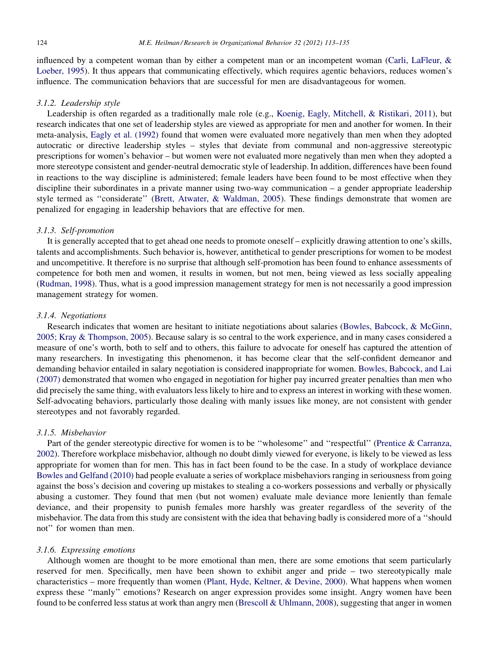influenced by a competent woman than by either a competent man or an incompetent woman (Carli, [LaFleur,](#page-18-0) & [Loeber,](#page-18-0) 1995). It thus appears that communicating effectively, which requires agentic behaviors, reduces women's influence. The communication behaviors that are successful for men are disadvantageous for women.

#### 3.1.2. Leadership style

Leadership is often regarded as a traditionally male role (e.g., Koenig, Eagly, Mitchell, & [Ristikari,](#page-21-0) 2011), but research indicates that one set of leadership styles are viewed as appropriate for men and another for women. In their meta-analysis, Eagly et al. [\(1992\)](#page-19-0) found that women were evaluated more negatively than men when they adopted autocratic or directive leadership styles – styles that deviate from communal and non-aggressive stereotypic prescriptions for women's behavior – but women were not evaluated more negatively than men when they adopted a more stereotype consistent and gender-neutral democratic style of leadership. In addition, differences have been found in reactions to the way discipline is administered; female leaders have been found to be most effective when they discipline their subordinates in a private manner using two-way communication – a gender appropriate leadership style termed as ''considerate'' (Brett, Atwater, & [Waldman,](#page-18-0) 2005). These findings demonstrate that women are penalized for engaging in leadership behaviors that are effective for men.

#### 3.1.3. Self-promotion

It is generally accepted that to get ahead one needs to promote oneself – explicitly drawing attention to one's skills, talents and accomplishments. Such behavior is, however, antithetical to gender prescriptions for women to be modest and uncompetitive. It therefore is no surprise that although self-promotion has been found to enhance assessments of competence for both men and women, it results in women, but not men, being viewed as less socially appealing [\(Rudman,](#page-21-0) 1998). Thus, what is a good impression management strategy for men is not necessarily a good impression management strategy for women.

# 3.1.4. Negotiations

Research indicates that women are hesitant to initiate negotiations about salaries (Bowles, [Babcock,](#page-18-0) & McGinn, 2005; Kray & [Thompson,](#page-18-0) 2005). Because salary is so central to the work experience, and in many cases considered a measure of one's worth, both to self and to others, this failure to advocate for oneself has captured the attention of many researchers. In investigating this phenomenon, it has become clear that the self-confident demeanor and demanding behavior entailed in salary negotiation is considered inappropriate for women. Bowles, [Babcock,](#page-18-0) and Lai [\(2007\)](#page-18-0) demonstrated that women who engaged in negotiation for higher pay incurred greater penalties than men who did precisely the same thing, with evaluators less likely to hire and to express an interest in working with these women. Self-advocating behaviors, particularly those dealing with manly issues like money, are not consistent with gender stereotypes and not favorably regarded.

## 3.1.5. Misbehavior

Part of the gender stereotypic directive for women is to be "wholesome" and "respectful" (Prentice & [Carranza,](#page-21-0) [2002](#page-21-0)). Therefore workplace misbehavior, although no doubt dimly viewed for everyone, is likely to be viewed as less appropriate for women than for men. This has in fact been found to be the case. In a study of workplace deviance Bowles and [Gelfand](#page-18-0) (2010) had people evaluate a series of workplace misbehaviors ranging in seriousness from going against the boss's decision and covering up mistakes to stealing a co-workers possessions and verbally or physically abusing a customer. They found that men (but not women) evaluate male deviance more leniently than female deviance, and their propensity to punish females more harshly was greater regardless of the severity of the misbehavior. The data from this study are consistent with the idea that behaving badly is considered more of a ''should not'' for women than men.

#### 3.1.6. Expressing emotions

Although women are thought to be more emotional than men, there are some emotions that seem particularly reserved for men. Specifically, men have been shown to exhibit anger and pride – two stereotypically male characteristics – more frequently than women (Plant, Hyde, [Keltner,](#page-21-0) & Devine, 2000). What happens when women express these ''manly'' emotions? Research on anger expression provides some insight. Angry women have been found to be conferred less status at work than angry men (Brescoll & [Uhlmann,](#page-18-0) 2008), suggesting that anger in women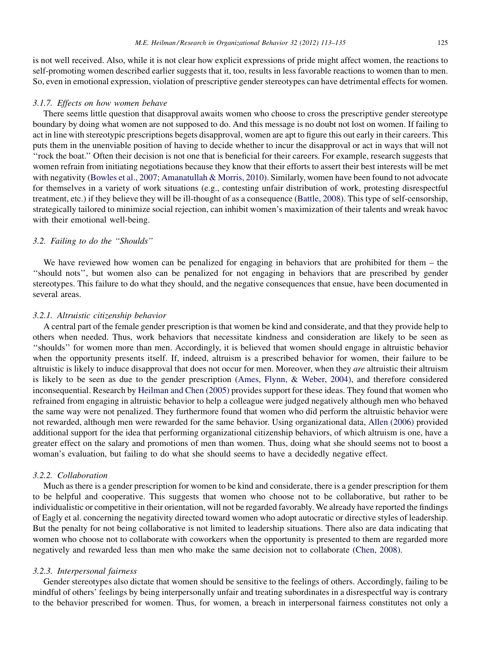is not well received. Also, while it is not clear how explicit expressions of pride might affect women, the reactions to self-promoting women described earlier suggests that it, too, results in less favorable reactions to women than to men. So, even in emotional expression, violation of prescriptive gender stereotypes can have detrimental effects for women.

#### 3.1.7. Effects on how women behave

There seems little question that disapproval awaits women who choose to cross the prescriptive gender stereotype boundary by doing what women are not supposed to do. And this message is no doubt not lost on women. If failing to act in line with stereotypic prescriptions begets disapproval, women are apt to figure this out early in their careers. This puts them in the unenviable position of having to decide whether to incur the disapproval or act in ways that will not ''rock the boat.'' Often their decision is not one that is beneficial for their careers. For example, research suggests that women refrain from initiating negotiations because they know that their efforts to assert their best interests will be met with negativity (Bowles et al., 2007; [Amanatullah](#page-18-0) & Morris, 2010). Similarly, women have been found to not advocate for themselves in a variety of work situations (e.g., contesting unfair distribution of work, protesting disrespectful treatment, etc.) if they believe they will be ill-thought of as a consequence [\(Battle,](#page-18-0) 2008). This type of self-censorship, strategically tailored to minimize social rejection, can inhibit women's maximization of their talents and wreak havoc with their emotional well-being.

## 3.2. Failing to do the ''Shoulds''

We have reviewed how women can be penalized for engaging in behaviors that are prohibited for them – the ''should nots'', but women also can be penalized for not engaging in behaviors that are prescribed by gender stereotypes. This failure to do what they should, and the negative consequences that ensue, have been documented in several areas.

#### 3.2.1. Altruistic citizenship behavior

A central part of the female gender prescription is that women be kind and considerate, and that they provide help to others when needed. Thus, work behaviors that necessitate kindness and consideration are likely to be seen as ''shoulds'' for women more than men. Accordingly, it is believed that women should engage in altruistic behavior when the opportunity presents itself. If, indeed, altruism is a prescribed behavior for women, their failure to be altruistic is likely to induce disapproval that does not occur for men. Moreover, when they are altruistic their altruism is likely to be seen as due to the gender prescription (Ames, Flynn, & [Weber,](#page-18-0) 2004), and therefore considered inconsequential. Research by [Heilman](#page-20-0) and Chen (2005) provides support for these ideas. They found that women who refrained from engaging in altruistic behavior to help a colleague were judged negatively although men who behaved the same way were not penalized. They furthermore found that women who did perform the altruistic behavior were not rewarded, although men were rewarded for the same behavior. Using organizational data, Allen [\(2006\)](#page-18-0) provided additional support for the idea that performing organizational citizenship behaviors, of which altruism is one, have a greater effect on the salary and promotions of men than women. Thus, doing what she should seems not to boost a woman's evaluation, but failing to do what she should seems to have a decidedly negative effect.

#### 3.2.2. Collaboration

Much as there is a gender prescription for women to be kind and considerate, there is a gender prescription for them to be helpful and cooperative. This suggests that women who choose not to be collaborative, but rather to be individualistic or competitive in their orientation, will not be regarded favorably. We already have reported the findings of Eagly et al. concerning the negativity directed toward women who adopt autocratic or directive styles of leadership. But the penalty for not being collaborative is not limited to leadership situations. There also are data indicating that women who choose not to collaborate with coworkers when the opportunity is presented to them are regarded more negatively and rewarded less than men who make the same decision not to collaborate [\(Chen,](#page-19-0) 2008).

#### 3.2.3. Interpersonal fairness

Gender stereotypes also dictate that women should be sensitive to the feelings of others. Accordingly, failing to be mindful of others' feelings by being interpersonally unfair and treating subordinates in a disrespectful way is contrary to the behavior prescribed for women. Thus, for women, a breach in interpersonal fairness constitutes not only a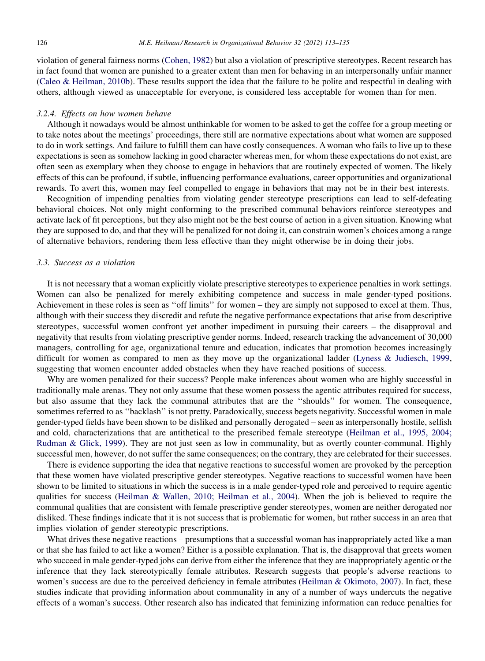violation of general fairness norms [\(Cohen,](#page-19-0) 1982) but also a violation of prescriptive stereotypes. Recent research has in fact found that women are punished to a greater extent than men for behaving in an interpersonally unfair manner (Caleo & [Heilman,](#page-18-0) 2010b). These results support the idea that the failure to be polite and respectful in dealing with others, although viewed as unacceptable for everyone, is considered less acceptable for women than for men.

### 3.2.4. Effects on how women behave

Although it nowadays would be almost unthinkable for women to be asked to get the coffee for a group meeting or to take notes about the meetings' proceedings, there still are normative expectations about what women are supposed to do in work settings. And failure to fulfill them can have costly consequences. Awoman who fails to live up to these expectations is seen as somehow lacking in good character whereas men, for whom these expectations do not exist, are often seen as exemplary when they choose to engage in behaviors that are routinely expected of women. The likely effects of this can be profound, if subtle, influencing performance evaluations, career opportunities and organizational rewards. To avert this, women may feel compelled to engage in behaviors that may not be in their best interests.

Recognition of impending penalties from violating gender stereotype prescriptions can lead to self-defeating behavioral choices. Not only might conforming to the prescribed communal behaviors reinforce stereotypes and activate lack of fit perceptions, but they also might not be the best course of action in a given situation. Knowing what they are supposed to do, and that they will be penalized for not doing it, can constrain women's choices among a range of alternative behaviors, rendering them less effective than they might otherwise be in doing their jobs.

# 3.3. Success as a violation

It is not necessary that a woman explicitly violate prescriptive stereotypes to experience penalties in work settings. Women can also be penalized for merely exhibiting competence and success in male gender-typed positions. Achievement in these roles is seen as ''off limits'' for women – they are simply not supposed to excel at them. Thus, although with their success they discredit and refute the negative performance expectations that arise from descriptive stereotypes, successful women confront yet another impediment in pursuing their careers – the disapproval and negativity that results from violating prescriptive gender norms. Indeed, research tracking the advancement of 30,000 managers, controlling for age, organizational tenure and education, indicates that promotion becomes increasingly difficult for women as compared to men as they move up the organizational ladder (Lyness & [Judiesch,](#page-21-0) 1999, suggesting that women encounter added obstacles when they have reached positions of success.

Why are women penalized for their success? People make inferences about women who are highly successful in traditionally male arenas. They not only assume that these women possess the agentic attributes required for success, but also assume that they lack the communal attributes that are the ''shoulds'' for women. The consequence, sometimes referred to as ''backlash'' is not pretty. Paradoxically, success begets negativity. Successful women in male gender-typed fields have been shown to be disliked and personally derogated – seen as interpersonally hostile, selfish and cold, characterizations that are antithetical to the prescribed female stereotype [\(Heilman](#page-20-0) et al., 1995, 2004; [Rudman](#page-20-0) & Glick, 1999). They are not just seen as low in communality, but as overtly counter-communal. Highly successful men, however, do not suffer the same consequences; on the contrary, they are celebrated for their successes.

There is evidence supporting the idea that negative reactions to successful women are provoked by the perception that these women have violated prescriptive gender stereotypes. Negative reactions to successful women have been shown to be limited to situations in which the success is in a male gender-typed role and perceived to require agentic qualities for success [\(Heilman](#page-20-0) & Wallen, 2010; Heilman et al., 2004). When the job is believed to require the communal qualities that are consistent with female prescriptive gender stereotypes, women are neither derogated nor disliked. These findings indicate that it is not success that is problematic for women, but rather success in an area that implies violation of gender stereotypic prescriptions.

What drives these negative reactions – presumptions that a successful woman has inappropriately acted like a man or that she has failed to act like a women? Either is a possible explanation. That is, the disapproval that greets women who succeed in male gender-typed jobs can derive from either the inference that they are inappropriately agentic or the inference that they lack stereotypically female attributes. Research suggests that people's adverse reactions to women's success are due to the perceived deficiency in female attributes (Heilman & [Okimoto,](#page-20-0) 2007). In fact, these studies indicate that providing information about communality in any of a number of ways undercuts the negative effects of a woman's success. Other research also has indicated that feminizing information can reduce penalties for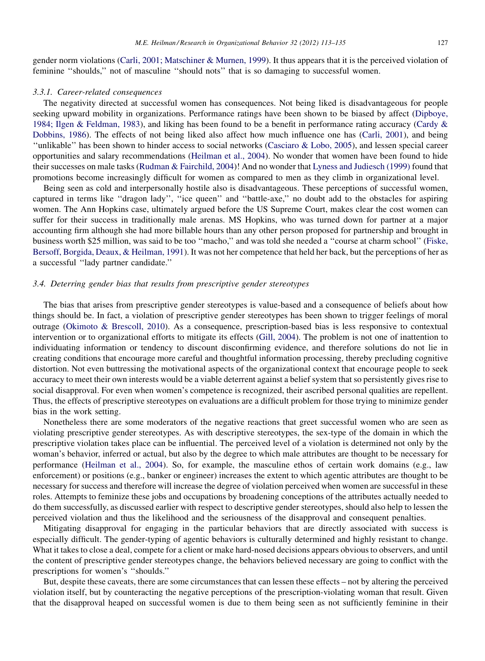gender norm violations (Carli, 2001; [Matschiner](#page-18-0) & Murnen, 1999). It thus appears that it is the perceived violation of feminine ''shoulds,'' not of masculine ''should nots'' that is so damaging to successful women.

## 3.3.1. Career-related consequences

The negativity directed at successful women has consequences. Not being liked is disadvantageous for people seeking upward mobility in organizations. Performance ratings have been shown to be biased by affect [\(Dipboye,](#page-19-0) 1984; Ilgen & [Feldman,](#page-19-0) 1983), and liking has been found to be a benefit in performance rating accuracy ([Cardy](#page-18-0) & [Dobbins,](#page-18-0) 1986). The effects of not being liked also affect how much influence one has ([Carli,](#page-18-0) 2001), and being ''unlikable'' has been shown to hinder access to social networks ([Casciaro](#page-18-0) & Lobo, 2005), and lessen special career opportunities and salary recommendations ([Heilman](#page-20-0) et al., 2004). No wonder that women have been found to hide their successes on male tasks (Rudman & [Fairchild,](#page-22-0) 2004)! And no wonder that Lyness and [Judiesch](#page-21-0) (1999) found that promotions become increasingly difficult for women as compared to men as they climb in organizational level.

Being seen as cold and interpersonally hostile also is disadvantageous. These perceptions of successful women, captured in terms like ''dragon lady'', ''ice queen'' and ''battle-axe,'' no doubt add to the obstacles for aspiring women. The Ann Hopkins case, ultimately argued before the US Supreme Court, makes clear the cost women can suffer for their success in traditionally male arenas. MS Hopkins, who was turned down for partner at a major accounting firm although she had more billable hours than any other person proposed for partnership and brought in business worth \$25 million, was said to be too ''macho,'' and was told she needed a ''course at charm school'' ([Fiske,](#page-19-0) Bersoff, Borgida, Deaux, & [Heilman,](#page-19-0) 1991). It was not her competence that held her back, but the perceptions of her as a successful ''lady partner candidate.''

### 3.4. Deterring gender bias that results from prescriptive gender stereotypes

The bias that arises from prescriptive gender stereotypes is value-based and a consequence of beliefs about how things should be. In fact, a violation of prescriptive gender stereotypes has been shown to trigger feelings of moral outrage (Okimoto & [Brescoll,](#page-21-0) 2010). As a consequence, prescription-based bias is less responsive to contextual intervention or to organizational efforts to mitigate its effects (Gill, [2004\)](#page-19-0). The problem is not one of inattention to individuating information or tendency to discount disconfirming evidence, and therefore solutions do not lie in creating conditions that encourage more careful and thoughtful information processing, thereby precluding cognitive distortion. Not even buttressing the motivational aspects of the organizational context that encourage people to seek accuracy to meet their own interests would be a viable deterrent against a belief system that so persistently gives rise to social disapproval. For even when women's competence is recognized, their ascribed personal qualities are repellent. Thus, the effects of prescriptive stereotypes on evaluations are a difficult problem for those trying to minimize gender bias in the work setting.

Nonetheless there are some moderators of the negative reactions that greet successful women who are seen as violating prescriptive gender stereotypes. As with descriptive stereotypes, the sex-type of the domain in which the prescriptive violation takes place can be influential. The perceived level of a violation is determined not only by the woman's behavior, inferred or actual, but also by the degree to which male attributes are thought to be necessary for performance [\(Heilman](#page-20-0) et al., 2004). So, for example, the masculine ethos of certain work domains (e.g., law enforcement) or positions (e.g., banker or engineer) increases the extent to which agentic attributes are thought to be necessary for success and therefore will increase the degree of violation perceived when women are successful in these roles. Attempts to feminize these jobs and occupations by broadening conceptions of the attributes actually needed to do them successfully, as discussed earlier with respect to descriptive gender stereotypes, should also help to lessen the perceived violation and thus the likelihood and the seriousness of the disapproval and consequent penalties.

Mitigating disapproval for engaging in the particular behaviors that are directly associated with success is especially difficult. The gender-typing of agentic behaviors is culturally determined and highly resistant to change. What it takes to close a deal, compete for a client or make hard-nosed decisions appears obviousto observers, and until the content of prescriptive gender stereotypes change, the behaviors believed necessary are going to conflict with the prescriptions for women's ''shoulds.''

But, despite these caveats, there are some circumstances that can lessen these effects – not by altering the perceived violation itself, but by counteracting the negative perceptions of the prescription-violating woman that result. Given that the disapproval heaped on successful women is due to them being seen as not sufficiently feminine in their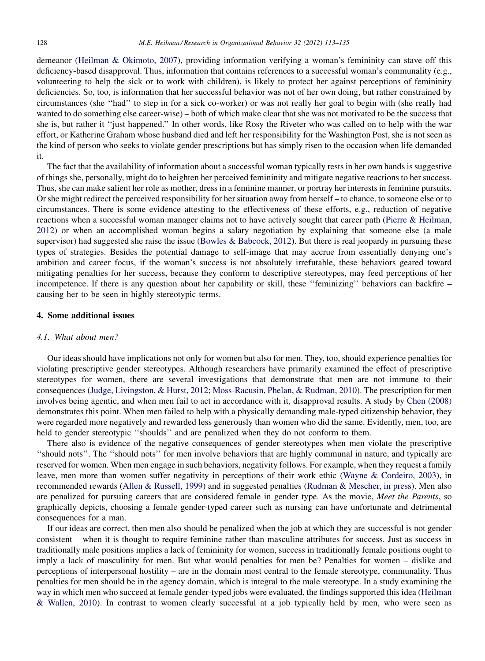demeanor (Heilman & [Okimoto,](#page-20-0) 2007), providing information verifying a woman's femininity can stave off this deficiency-based disapproval. Thus, information that contains references to a successful woman's communality (e.g., volunteering to help the sick or to work with children), is likely to protect her against perceptions of femininity deficiencies. So, too, is information that her successful behavior was not of her own doing, but rather constrained by circumstances (she ''had'' to step in for a sick co-worker) or was not really her goal to begin with (she really had wanted to do something else career-wise) – both of which make clear that she was not motivated to be the success that she is, but rather it ''just happened.'' In other words, like Rosy the Riveter who was called on to help with the war effort, or Katherine Graham whose husband died and left her responsibility for the Washington Post, she is not seen as the kind of person who seeks to violate gender prescriptions but has simply risen to the occasion when life demanded it.

The fact that the availability of information about a successful woman typically rests in her own hands is suggestive of things she, personally, might do to heighten her perceived femininity and mitigate negative reactions to her success. Thus, she can make salient her role as mother, dress in a feminine manner, or portray her interests in feminine pursuits. Orshe might redirect the perceived responsibility for her situation away from herself – to chance, to someone else or to circumstances. There is some evidence attesting to the effectiveness of these efforts, e.g., reduction of negative reactions when a successful woman manager claims not to have actively sought that career path (Pierre & [Heilman,](#page-21-0) [2012](#page-21-0)) or when an accomplished woman begins a salary negotiation by explaining that someone else (a male supervisor) had suggested she raise the issue (Bowles & [Babcock,](#page-18-0) 2012). But there is real jeopardy in pursuing these types of strategies. Besides the potential damage to self-image that may accrue from essentially denying one's ambition and career focus, if the woman's success is not absolutely irrefutable, these behaviors geared toward mitigating penalties for her success, because they conform to descriptive stereotypes, may feed perceptions of her incompetence. If there is any question about her capability or skill, these ''feminizing'' behaviors can backfire – causing her to be seen in highly stereotypic terms.

# 4. Some additional issues

# 4.1. What about men?

Our ideas should have implications not only for women but also for men. They, too, should experience penalties for violating prescriptive gender stereotypes. Although researchers have primarily examined the effect of prescriptive stereotypes for women, there are several investigations that demonstrate that men are not immune to their consequences (Judge, Livingston, & Hurst, 2012; [Moss-Racusin,](#page-20-0) Phelan, & Rudman, 2010). The prescription for men involves being agentic, and when men fail to act in accordance with it, disapproval results. A study by Chen [\(2008\)](#page-19-0) demonstrates this point. When men failed to help with a physically demanding male-typed citizenship behavior, they were regarded more negatively and rewarded less generously than women who did the same. Evidently, men, too, are held to gender stereotypic ''shoulds'' and are penalized when they do not conform to them.

There also is evidence of the negative consequences of gender stereotypes when men violate the prescriptive ''should nots''. The ''should nots'' for men involve behaviors that are highly communal in nature, and typically are reserved for women. When men engage in such behaviors, negativity follows. For example, when they request a family leave, men more than women suffer negativity in perceptions of their work ethic (Wayne & [Cordeiro,](#page-22-0) 2003), in recommended rewards (Allen & [Russell,](#page-18-0) 1999) and in suggested penalties (Rudman & [Mescher,](#page-22-0) in press). Men also are penalized for pursuing careers that are considered female in gender type. As the movie, Meet the Parents, so graphically depicts, choosing a female gender-typed career such as nursing can have unfortunate and detrimental consequences for a man.

If our ideas are correct, then men also should be penalized when the job at which they are successful is not gender consistent – when it is thought to require feminine rather than masculine attributes for success. Just as success in traditionally male positions implies a lack of femininity for women, success in traditionally female positions ought to imply a lack of masculinity for men. But what would penalties for men be? Penalties for women – dislike and perceptions of interpersonal hostility – are in the domain most central to the female stereotype, communality. Thus penalties for men should be in the agency domain, which is integral to the male stereotype. In a study examining the way in which men who succeed at female gender-typed jobs were evaluated, the findings supported this idea ([Heilman](#page-20-0) & [Wallen,](#page-20-0) 2010). In contrast to women clearly successful at a job typically held by men, who were seen as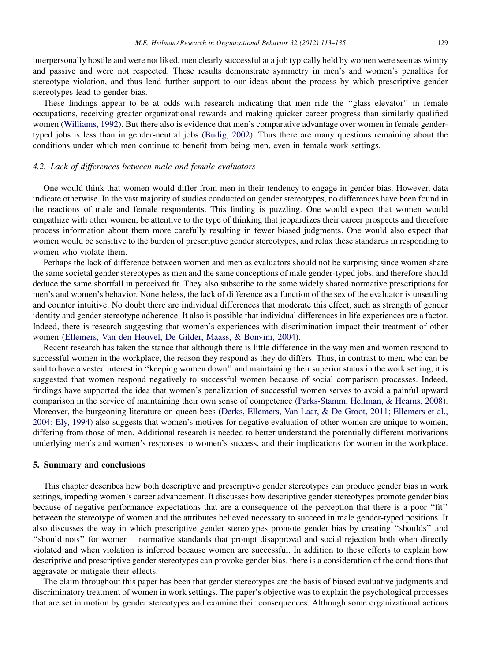interpersonally hostile and were not liked, men clearly successful at a job typically held by women were seen as wimpy and passive and were not respected. These results demonstrate symmetry in men's and women's penalties for stereotype violation, and thus lend further support to our ideas about the process by which prescriptive gender stereotypes lead to gender bias.

These findings appear to be at odds with research indicating that men ride the ''glass elevator'' in female occupations, receiving greater organizational rewards and making quicker career progress than similarly qualified women ([Williams,](#page-22-0) 1992). But there also is evidence that men's comparative advantage over women in female gendertyped jobs is less than in gender-neutral jobs [\(Budig,](#page-18-0) 2002). Thus there are many questions remaining about the conditions under which men continue to benefit from being men, even in female work settings.

## 4.2. Lack of differences between male and female evaluators

One would think that women would differ from men in their tendency to engage in gender bias. However, data indicate otherwise. In the vast majority of studies conducted on gender stereotypes, no differences have been found in the reactions of male and female respondents. This finding is puzzling. One would expect that women would empathize with other women, be attentive to the type of thinking that jeopardizes their career prospects and therefore process information about them more carefully resulting in fewer biased judgments. One would also expect that women would be sensitive to the burden of prescriptive gender stereotypes, and relax these standards in responding to women who violate them.

Perhaps the lack of difference between women and men as evaluators should not be surprising since women share the same societal gender stereotypes as men and the same conceptions of male gender-typed jobs, and therefore should deduce the same shortfall in perceived fit. They also subscribe to the same widely shared normative prescriptions for men's and women's behavior. Nonetheless, the lack of difference as a function of the sex of the evaluator is unsettling and counter intuitive. No doubt there are individual differences that moderate this effect, such as strength of gender identity and gender stereotype adherence. It also is possible that individual differences in life experiences are a factor. Indeed, there is research suggesting that women's experiences with discrimination impact their treatment of other women ([Ellemers,](#page-19-0) Van den Heuvel, De Gilder, Maass, & Bonvini, 2004).

Recent research has taken the stance that although there is little difference in the way men and women respond to successful women in the workplace, the reason they respond as they do differs. Thus, in contrast to men, who can be said to have a vested interest in ''keeping women down'' and maintaining their superior status in the work setting, it is suggested that women respond negatively to successful women because of social comparison processes. Indeed, findings have supported the idea that women's penalization of successful women serves to avoid a painful upward comparison in the service of maintaining their own sense of competence ([Parks-Stamm,](#page-21-0) Heilman, & Hearns, 2008). Moreover, the burgeoning literature on queen bees (Derks, [Ellemers,](#page-19-0) Van Laar, & De Groot, 2011; Ellemers et al., [2004;](#page-19-0) Ely, 1994) also suggests that women's motives for negative evaluation of other women are unique to women, differing from those of men. Additional research is needed to better understand the potentially different motivations underlying men's and women's responses to women's success, and their implications for women in the workplace.

#### 5. Summary and conclusions

This chapter describes how both descriptive and prescriptive gender stereotypes can produce gender bias in work settings, impeding women's career advancement. It discusses how descriptive gender stereotypes promote gender bias because of negative performance expectations that are a consequence of the perception that there is a poor ''fit'' between the stereotype of women and the attributes believed necessary to succeed in male gender-typed positions. It also discusses the way in which prescriptive gender stereotypes promote gender bias by creating ''shoulds'' and ''should nots'' for women – normative standards that prompt disapproval and social rejection both when directly violated and when violation is inferred because women are successful. In addition to these efforts to explain how descriptive and prescriptive gender stereotypes can provoke gender bias, there is a consideration of the conditions that aggravate or mitigate their effects.

The claim throughout this paper has been that gender stereotypes are the basis of biased evaluative judgments and discriminatory treatment of women in work settings. The paper's objective was to explain the psychological processes that are set in motion by gender stereotypes and examine their consequences. Although some organizational actions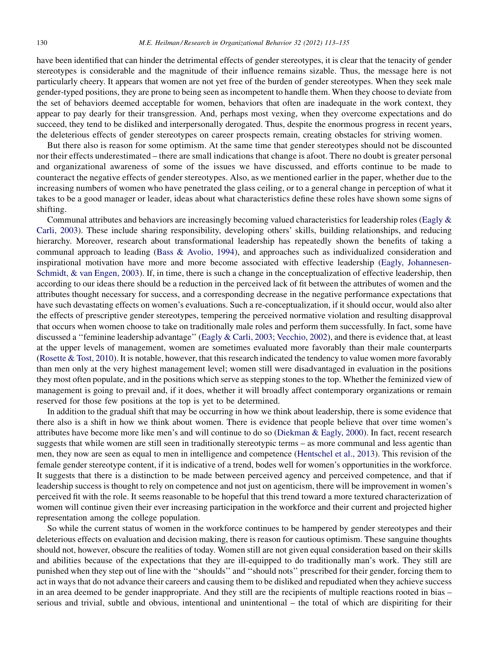have been identified that can hinder the detrimental effects of gender stereotypes, it is clear that the tenacity of gender stereotypes is considerable and the magnitude of their influence remains sizable. Thus, the message here is not particularly cheery. It appears that women are not yet free of the burden of gender stereotypes. When they seek male gender-typed positions, they are prone to being seen as incompetent to handle them. When they choose to deviate from the set of behaviors deemed acceptable for women, behaviors that often are inadequate in the work context, they appear to pay dearly for their transgression. And, perhaps most vexing, when they overcome expectations and do succeed, they tend to be disliked and interpersonally derogated. Thus, despite the enormous progress in recent years, the deleterious effects of gender stereotypes on career prospects remain, creating obstacles for striving women.

But there also is reason for some optimism. At the same time that gender stereotypes should not be discounted nor their effects underestimated – there are small indications that change is afoot. There no doubt is greater personal and organizational awareness of some of the issues we have discussed, and efforts continue to be made to counteract the negative effects of gender stereotypes. Also, as we mentioned earlier in the paper, whether due to the increasing numbers of women who have penetrated the glass ceiling, or to a general change in perception of what it takes to be a good manager or leader, ideas about what characteristics define these roles have shown some signs of shifting.

Communal attributes and behaviors are increasingly becoming valued characteristics for leadership roles [\(Eagly](#page-19-0) & [Carli,](#page-19-0) 2003). These include sharing responsibility, developing others' skills, building relationships, and reducing hierarchy. Moreover, research about transformational leadership has repeatedly shown the benefits of taking a communal approach to leading (Bass & [Avolio,](#page-18-0) 1994), and approaches such as individualized consideration and inspirational motivation have more and more become associated with effective leadership (Eagly, [Johannesen-](#page-19-0)[Schmidt,](#page-19-0) & van Engen, 2003). If, in time, there is such a change in the conceptualization of effective leadership, then according to our ideas there should be a reduction in the perceived lack of fit between the attributes of women and the attributes thought necessary for success, and a corresponding decrease in the negative performance expectations that have such devastating effects on women's evaluations. Such a re-conceptualization, if it should occur, would also alter the effects of prescriptive gender stereotypes, tempering the perceived normative violation and resulting disapproval that occurs when women choose to take on traditionally male roles and perform them successfully. In fact, some have discussed a ''feminine leadership advantage'' (Eagly & Carli, 2003; [Vecchio,](#page-19-0) 2002), and there is evidence that, at least at the upper levels of management, women are sometimes evaluated more favorably than their male counterparts [\(Rosette](#page-21-0) & Tost, 2010). It is notable, however, that thisresearch indicated the tendency to value women more favorably than men only at the very highest management level; women still were disadvantaged in evaluation in the positions they most often populate, and in the positions which serve as stepping stones to the top. Whether the feminized view of management is going to prevail and, if it does, whether it will broadly affect contemporary organizations or remain reserved for those few positions at the top is yet to be determined.

In addition to the gradual shift that may be occurring in how we think about leadership, there is some evidence that there also is a shift in how we think about women. There is evidence that people believe that over time women's attributes have become more like men's and will continue to do so [\(Diekman](#page-19-0) & Eagly, 2000). In fact, recent research suggests that while women are still seen in traditionally stereotypic terms – as more communal and less agentic than men, they now are seen as equal to men in intelligence and competence ([Hentschel](#page-20-0) et al., 2013). This revision of the female gender stereotype content, if it is indicative of a trend, bodes well for women's opportunities in the workforce. It suggests that there is a distinction to be made between perceived agency and perceived competence, and that if leadership success is thought to rely on competence and not just on agenticism, there will be improvement in women's perceived fit with the role. It seems reasonable to be hopeful that this trend toward a more textured characterization of women will continue given their ever increasing participation in the workforce and their current and projected higher representation among the college population.

So while the current status of women in the workforce continues to be hampered by gender stereotypes and their deleterious effects on evaluation and decision making, there is reason for cautious optimism. These sanguine thoughts should not, however, obscure the realities of today. Women still are not given equal consideration based on their skills and abilities because of the expectations that they are ill-equipped to do traditionally man's work. They still are punished when they step out of line with the ''shoulds'' and ''should nots'' prescribed for their gender, forcing them to act in ways that do not advance their careers and causing them to be disliked and repudiated when they achieve success in an area deemed to be gender inappropriate. And they still are the recipients of multiple reactions rooted in bias – serious and trivial, subtle and obvious, intentional and unintentional – the total of which are dispiriting for their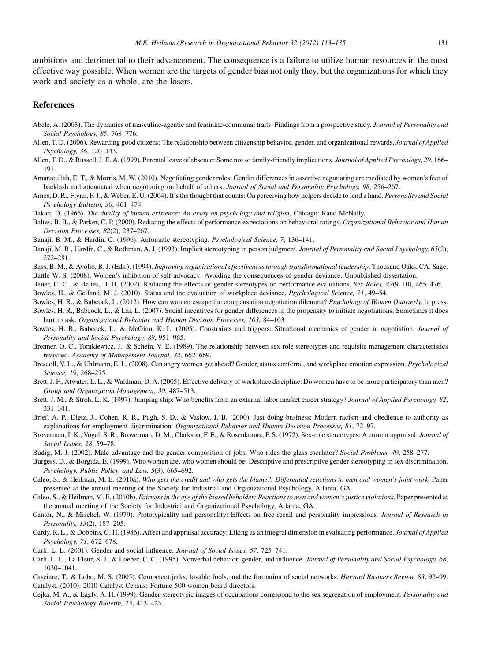<span id="page-18-0"></span>ambitions and detrimental to their advancement. The consequence is a failure to utilize human resources in the most effective way possible. When women are the targets of gender bias not only they, but the organizations for which they work and society as a whole, are the losers.

#### References

- Abele, A. (2003). The dynamics of masculine-agentic and feminine-communal traits: Findings from a prospective study. Journal of Personality and Social Psychology, 85, 768–776.
- Allen, T. D. (2006). Rewarding good citizens: The relationship between citizenship behavior, gender, and organizational rewards. Journal of Applied Psychology, 36, 120–143.
- Allen, T. D., & Russell, J. E. A. (1999). Parental leave of absence: Some not so family-friendly implications. Journal of Applied Psychology, 29, 166– 191.
- Amanatullah, E. T., & Morris, M. W. (2010). Negotiating gender roles: Gender differences in assertive negotiating are mediated by women's fear of backlash and attenuated when negotiating on behalf of others. Journal of Social and Personality Psychology, 98, 256–267.
- Ames, D. R., Flynn, F. J., & Weber, E. U. (2004). It's the thought that counts: On perceiving how helpers decide to lend a hand. Personality and Social Psychology Bulletin, 30, 461–474.
- Bakan, D. (1966). The duality of human existence: An essay on psychology and religion. Chicago: Rand McNally.
- Baltes, B. B., & Parker, C. P. (2000). Reducing the effects of performance expectations on behavioral ratings. Organizational Behavior and Human Decision Processes, 82(2), 237–267.
- Banaji, B. M., & Hardin, C. (1996). Automatic stereotyping. Psychological Science, 7, 136–141.
- Banaji, M. R., Hardin, C., & Rothman, A. J. (1993). Implicit stereotyping in person judgment. Journal of Personality and Social Psychology, 65(2), 272–281.
- Bass, B. M., & Avolio, B. J. (Eds.). (1994). Improving organizational effectiveness through transformational leadership. Thousand Oaks, CA: Sage.
- Battle W. S. (2008). Women's inhibition of self-advocacy: Avoiding the consequences of gender deviance. Unpublished dissertation.
- Bauer, C. C., & Baltes, B. B. (2002). Reducing the effects of gender stereotypes on performance evaluations. Sex Roles, 47(9–10), 465–476. Bowles, H., & Gelfand, M. J. (2010). Status and the evaluation of workplace deviance. Psychological Science, 21, 49–54.
- Bowles, H. R., & Babcock, L. (2012). How can women escape the compensation negotiation dilemma? Psychology of Women Quarterly, in press.
- Bowles, H. R., Babcock, L., & Lai, L. (2007). Social incentives for gender differences in the propensity to initiate negotiations: Sometimes it does hurt to ask. Organizational Behavior and Human Decision Processes, 103, 84–103.
- Bowles, H. R., Babcock, L., & McGinn, K. L. (2005). Constraints and triggers: Situational mechanics of gender in negotiation. Journal of Personality and Social Psychology, 89, 951–965.
- Brenner, O. C., Tomkiewicz, J., & Schein, V. E. (1989). The relationship between sex role stereotypes and requisite management characteristics revisited. Academy of Management Journal, 32, 662–669.
- Brescoll, V. L., & Uhlmann, E. L. (2008). Can angry women get ahead? Gender, status conferral, and workplace emotion expression. Psychological Science, 19, 268–275.
- Brett,J. F., Atwater, L. L., & Waldman, D. A. (2005). Effective delivery of workplace discipline: Do women have to be more participatory than men? Group and Organization Management, 30, 487–513.
- Brett, J. M., & Stroh, L. K. (1997). Jumping ship: Who benefits from an external labor market career strategy? Journal of Applied Psychology, 82, 331–341.
- Brief, A. P., Dietz, J., Cohen, R. R., Pugh, S. D., & Vaslow, J. B. (2000). Just doing business: Modern racism and obedience to authority as explanations for employment discrimination. Organizational Behavior and Human Decision Processes, 81, 72–97.
- Broverman, I. K., Vogel, S. R., Broverman, D. M., Clarkson, F. E., & Rosenkrantz, P. S. (1972). Sex-role stereotypes: A current appraisal. Journal of Social Issues, 28, 59–78.
- Budig, M. J. (2002). Male advantage and the gender composition of jobs: Who rides the glass escalator? Social Problems, 49, 258–277.
- Burgess, D., & Borgida, E. (1999). Who women are, who women should be: Descriptive and prescriptive gender stereotyping in sex discrimination. Psychology, Public Policy, and Law, 5(3), 665–692.
- Caleo, S., & Heilman, M. E. (2010a). Who gets the credit and who gets the blame?: Differential reactions to men and women's joint work. Paper presented at the annual meeting of the Society for Industrial and Organizational Psychology, Atlanta, GA.
- Caleo, S., & Heilman, M. E. (2010b). Fairnessin the eye of the biased beholder: Reactionsto men and women's justice violations. Paper presented at the annual meeting of the Society for Industrial and Organizational Psychology, Atlanta, GA.
- Cantor, N., & Mischel, W. (1979). Prototypicality and personality: Effects on free recall and personality impressions. Journal of Research in Personality, 13(2), 187–205.
- Cardy, R. L., & Dobbins, G. H. (1986). Affect and appraisal accuracy: Liking as an integral dimension in evaluating performance. Journal of Applied Psychology, 71, 672–678.
- Carli, L. L. (2001). Gender and social influence. Journal of Social Issues, 57, 725–741.
- Carli, L. L., La Fleur, S. J., & Loeber, C. C. (1995). Nonverbal behavior, gender, and influence. Journal of Personality and Social Psychology, 68, 1030–1041.
- Casciaro, T., & Lobo, M. S. (2005). Competent jerks, lovable fools, and the formation of social networks. Harvard Business Review, 83, 92–99. Catalyst. (2010). 2010 Catalyst Census: Fortune 500 women board directors.
- Cejka, M. A., & Eagly, A. H. (1999). Gender-stereotypic images of occupations correspond to the sex segregation of employment. Personality and Social Psychology Bulletin, 25, 413–423.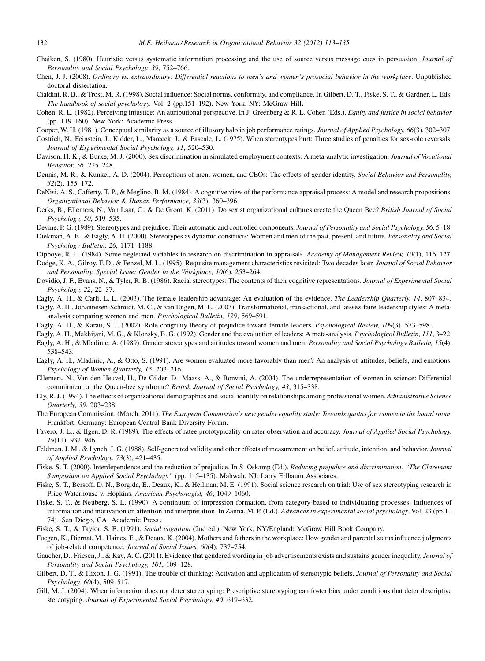- <span id="page-19-0"></span>Chaiken, S. (1980). Heuristic versus systematic information processing and the use of source versus message cues in persuasion. Journal of Personality and Social Psychology, 39, 752–766.
- Chen, J. J. (2008). Ordinary vs. extraordinary: Differential reactions to men's and women's prosocial behavior in the workplace. Unpublished doctoral dissertation.
- Cialdini, R. B., & Trost, M. R. (1998). Social influence: Social norms, conformity, and compliance. In Gilbert, D. T., Fiske, S. T., & Gardner, L. Eds. The handbook of social psychology. Vol. <sup>2</sup> (pp.151–192). New York, NY: McGraw-Hill.
- Cohen, R. L. (1982). Perceiving injustice: An attributional perspective. In J. Greenberg & R. L. Cohen (Eds.), Equity and justice in social behavior (pp. 119–160). New York: Academic Press.
- Cooper, W. H. (1981). Conceptual similarity as a source of illusory halo in job performance ratings. Journal of Applied Psychology, 66(3), 302–307.
- Costrich, N., Feinstein, J., Kidder, L., Marecek, J., & Pascale, L. (1975). When stereotypes hurt: Three studies of penalties for sex-role reversals. Journal of Experimental Social Psychology, 11, 520–530.
- Davison, H. K., & Burke, M. J. (2000). Sex discrimination in simulated employment contexts: A meta-analytic investigation. Journal of Vocational Behavior, 56, 225–248.
- Dennis, M. R., & Kunkel, A. D. (2004). Perceptions of men, women, and CEOs: The effects of gender identity. Social Behavior and Personality, 32(2), 155–172.
- DeNisi, A. S., Cafferty, T. P., & Meglino, B. M. (1984). A cognitive view of the performance appraisal process: A model and research propositions. Organizational Behavior & Human Performance, 33(3), 360–396.
- Derks, B., Ellemers, N., Van Laar, C., & De Groot, K. (2011). Do sexist organizational cultures create the Queen Bee? British Journal of Social Psychology, 50, 519–535.
- Devine, P. G. (1989). Stereotypes and prejudice: Their automatic and controlled components. Journal of Personality and Social Psychology, 56, 5–18.
- Diekman, A. B., & Eagly, A. H. (2000). Stereotypes as dynamic constructs: Women and men of the past, present, and future. Personality and Social Psychology Bulletin, 26, 1171–1188.
- Dipboye, R. L. (1984). Some neglected variables in research on discrimination in appraisals. Academy of Management Review, 10(1), 116–127.
- Dodge, K. A., Gilroy, F. D., & Fenzel, M. L. (1995). Requisite management characteristics revisited: Two decades later. Journal of Social Behavior and Personality. Special Issue: Gender in the Workplace, 10(6), 253–264.
- Dovidio, J. F., Evans, N., & Tyler, R. B. (1986). Racial stereotypes: The contents of their cognitive representations. Journal of Experimental Social Psychology, 22, 22–37.
- Eagly, A. H., & Carli, L. L. (2003). The female leadership advantage: An evaluation of the evidence. The Leadership Quarterly, 14, 807-834.
- Eagly, A. H., Johannesen-Schmidt, M. C., & van Engen, M. L. (2003). Transformational, transactional, and laissez-faire leadership styles: A metaanalysis comparing women and men. Psychological Bulletin, 129, 569–591.
- Eagly, A. H., & Karau, S. J. (2002). Role congruity theory of prejudice toward female leaders. Psychological Review, 109(3), 573–598.
- Eagly, A. H., Makhijani, M. G., & Klonsky, B. G. (1992). Gender and the evaluation of leaders: A meta-analysis. Psychological Bulletin, 111, 3–22.
- Eagly, A. H., & Mladinic, A. (1989). Gender stereotypes and attitudes toward women and men. Personality and Social Psychology Bulletin, 15(4), 538–543.
- Eagly, A. H., Mladinic, A., & Otto, S. (1991). Are women evaluated more favorably than men? An analysis of attitudes, beliefs, and emotions. Psychology of Women Quarterly, 15, 203–216.
- Ellemers, N., Van den Heuvel, H., De Gilder, D., Maass, A., & Bonvini, A. (2004). The underrepresentation of women in science: Differential commitment or the Queen-bee syndrome? British Journal of Social Psychology, 43, 315-338.
- Ely, R. J. (1994). The effects of organizational demographics and social identity on relationships among professional women. Administrative Science Quarterly, 39, 203–238.
- The European Commission. (March, 2011). The European Commission's new gender equality study: Towards quotas for women in the board room. Frankfort, Germany: European Central Bank Diversity Forum.
- Favero, J. L., & Ilgen, D. R. (1989). The effects of ratee prototypicality on rater observation and accuracy. Journal of Applied Social Psychology, 19(11), 932–946.
- Feldman, J. M., & Lynch, J. G. (1988). Self-generated validity and other effects of measurement on belief, attitude, intention, and behavior. Journal of Applied Psychology, 73(3), 421–435.
- Fiske, S. T. (2000). Interdependence and the reduction of prejudice. In S. Oskamp (Ed.), Reducing prejudice and discrimination. "The Claremont Symposium on Applied Social Psychology'' (pp. 115–135). Mahwah, NJ: Larry Erlbaum Associates.
- Fiske, S. T., Bersoff, D. N., Borgida, E., Deaux, K., & Heilman, M. E. (1991). Social science research on trial: Use of sex stereotyping research in Price Waterhouse v. Hopkins. American Psychologist, 46, 1049–1060.
- Fiske, S. T., & Neuberg, S. L. (1990). A continuum of impression formation, from category-based to individuating processes: Influences of information and motivation on attention and interpretation. In Zanna, M. P. (Ed.). Advances in experimental social psychology. Vol. 23 (pp.1-74). San Diego, CA: Academic Press.
- Fiske, S. T., & Taylor, S. E. (1991). Social cognition (2nd ed.). New York, NY/England: McGraw Hill Book Company.
- Fuegen, K., Biernat, M., Haines, E., & Deaux, K. (2004). Mothers and fathers in the workplace: How gender and parental status influence judgments of job-related competence. Journal of Social Issues, 60(4), 737–754.
- Gaucher, D., Friesen, J., & Kay, A. C. (2011). Evidence that gendered wording in job advertisements exists and sustains gender inequality. Journal of Personality and Social Psychology, 101, 109–128.
- Gilbert, D. T., & Hixon, J. G. (1991). The trouble of thinking: Activation and application of stereotypic beliefs. Journal of Personality and Social Psychology, 60(4), 509–517.
- Gill, M. J. (2004). When information does not deter stereotyping: Prescriptive stereotyping can foster bias under conditions that deter descriptive stereotyping. Journal of Experimental Social Psychology, 40, 619–632.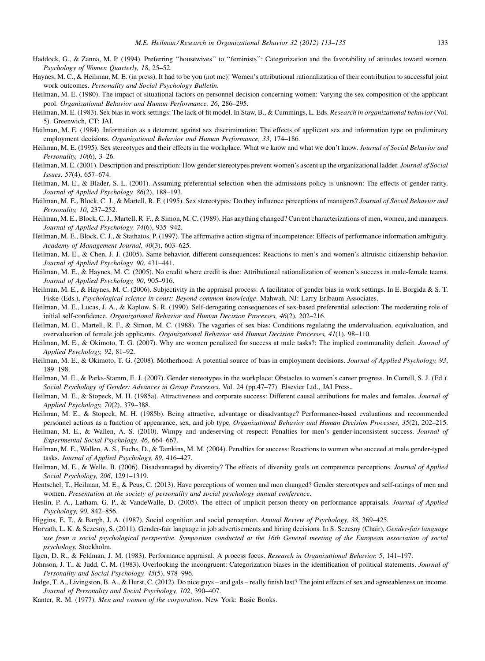- <span id="page-20-0"></span>Haddock, G., & Zanna, M. P. (1994). Preferring ''housewives'' to ''feminists'': Categorization and the favorability of attitudes toward women. Psychology of Women Quarterly, 18, 25–52.
- Haynes, M. C., & Heilman, M. E. (in press). It had to be you (not me)! Women's attributional rationalization of their contribution to successful joint work outcomes. Personality and Social Psychology Bulletin.
- Heilman, M. E. (1980). The impact of situational factors on personnel decision concerning women: Varying the sex composition of the applicant pool. Organizational Behavior and Human Performance, 26, 286–295.
- Heilman, M. E. (1983). Sex bias in work settings: The lack of fit model. In Staw, B., & Cummings, L. Eds. Research in organizational behavior (Vol. 5). Greenwich, CT: JAI.
- Heilman, M. E. (1984). Information as a deterrent against sex discrimination: The effects of applicant sex and information type on preliminary employment decisions. Organizational Behavior and Human Performance, 33, 174–186.
- Heilman, M. E. (1995). Sex stereotypes and their effects in the workplace: What we know and what we don't know. Journal of Social Behavior and Personality, 10(6), 3–26.
- Heilman, M. E. (2001). Description and prescription: How gender stereotypes prevent women's ascent up the organizational ladder. Journal of Social Issues, 57(4), 657–674.
- Heilman, M. E., & Blader, S. L. (2001). Assuming preferential selection when the admissions policy is unknown: The effects of gender rarity. Journal of Applied Psychology, 86(2), 188–193.
- Heilman, M. E., Block, C. J., & Martell, R. F. (1995). Sex stereotypes: Do they influence perceptions of managers? Journal of Social Behavior and Personality, 10, 237–252.
- Heilman, M. E., Block, C.J., Martell, R. F., & Simon, M. C. (1989). Has anything changed? Current characterizations of men, women, and managers. Journal of Applied Psychology, 74(6), 935–942.
- Heilman, M. E., Block, C. J., & Stathatos, P. (1997). The affirmative action stigma of incompetence: Effects of performance information ambiguity. Academy of Management Journal, 40(3), 603–625.
- Heilman, M. E., & Chen, J. J. (2005). Same behavior, different consequences: Reactions to men's and women's altruistic citizenship behavior. Journal of Applied Psychology, 90, 431–441.
- Heilman, M. E., & Haynes, M. C. (2005). No credit where credit is due: Attributional rationalization of women's success in male-female teams. Journal of Applied Psychology, 90, 905–916.
- Heilman, M. E., & Haynes, M. C. (2006). Subjectivity in the appraisal process: A facilitator of gender bias in work settings. In E. Borgida & S. T. Fiske (Eds.), Psychological science in court: Beyond common knowledge. Mahwah, NJ: Larry Erlbaum Associates.
- Heilman, M. E., Lucas, J. A., & Kaplow, S. R. (1990). Self-derogating consequences of sex-based preferential selection: The moderating role of initial self-confidence. Organizational Behavior and Human Decision Processes, 46(2), 202–216.
- Heilman, M. E., Martell, R. F., & Simon, M. C. (1988). The vagaries of sex bias: Conditions regulating the undervaluation, equivaluation, and overvaluation of female job applicants. Organizational Behavior and Human Decision Processes, 41(1), 98–110.
- Heilman, M. E., & Okimoto, T. G. (2007). Why are women penalized for success at male tasks?: The implied communality deficit. Journal of Applied Psychology, 92, 81–92.
- Heilman, M. E., & Okimoto, T. G. (2008). Motherhood: A potential source of bias in employment decisions. Journal of Applied Psychology, 93, 189–198.
- Heilman, M. E., & Parks-Stamm, E. J. (2007). Gender stereotypes in the workplace: Obstacles to women's career progress. In Correll, S. J. (Ed.). Social Psychology of Gender: Advances in Group Processes. Vol. <sup>24</sup> (pp.47–77). Elsevier Ltd., JAI Press.
- Heilman, M. E., & Stopeck, M. H. (1985a). Attractiveness and corporate success: Different causal attributions for males and females. Journal of Applied Psychology, 70(2), 379–388.
- Heilman, M. E., & Stopeck, M. H. (1985b). Being attractive, advantage or disadvantage? Performance-based evaluations and recommended personnel actions as a function of appearance, sex, and job type. Organizational Behavior and Human Decision Processes, 35(2), 202–215.
- Heilman, M. E., & Wallen, A. S. (2010). Wimpy and undeserving of respect: Penalties for men's gender-inconsistent success. Journal of Experimental Social Psychology, 46, 664–667.
- Heilman, M. E., Wallen, A. S., Fuchs, D., & Tamkins, M. M. (2004). Penalties for success: Reactions to women who succeed at male gender-typed tasks. Journal of Applied Psychology, 89, 416–427.
- Heilman, M. E., & Welle, B. (2006). Disadvantaged by diversity? The effects of diversity goals on competence perceptions. Journal of Applied Social Psychology, 206, 1291–1319.
- Hentschel, T., Heilman, M. E., & Peus, C. (2013). Have perceptions of women and men changed? Gender stereotypes and self-ratings of men and women. Presentation at the society of personality and social psychology annual conference.
- Heslin, P. A., Latham, G. P., & VandeWalle, D. (2005). The effect of implicit person theory on performance appraisals. Journal of Applied Psychology, 90, 842–856.
- Higgins, E. T., & Bargh, J. A. (1987). Social cognition and social perception. Annual Review of Psychology, 38, 369–425.
- Horvath, L. K. & Sczesny, S. (2011). Gender-fair language in job advertisements and hiring decisions. In S. Sczesny (Chair), Gender-fair language use from a social psychological perspective. Symposium conducted at the 16th General meeting of the European association of social psychology, Stockholm.
- Ilgen, D. R., & Feldman, J. M. (1983). Performance appraisal: A process focus. Research in Organizational Behavior, 5, 141–197.
- Johnson, J. T., & Judd, C. M. (1983). Overlooking the incongruent: Categorization biases in the identification of political statements. Journal of Personality and Social Psychology, 45(5), 978–996.
- Judge, T. A., Livingston, B. A., & Hurst, C. (2012). Do nice guys and gals really finish last? The joint effects of sex and agreeableness on income. Journal of Personality and Social Psychology, 102, 390–407.
- Kanter, R. M. (1977). Men and women of the corporation. New York: Basic Books.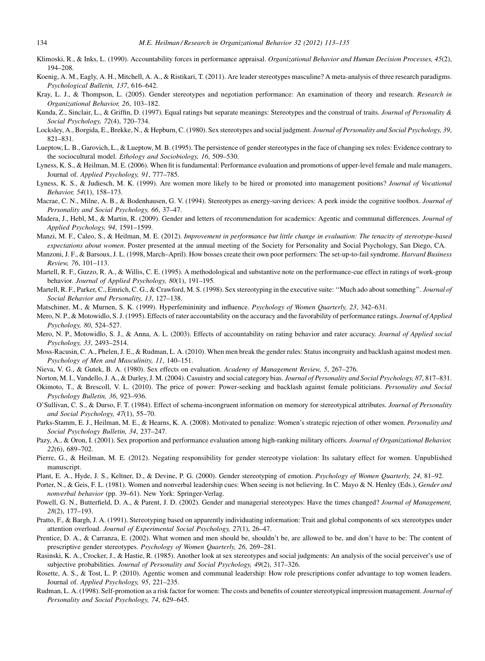- <span id="page-21-0"></span>Klimoski, R., & Inks, L. (1990). Accountability forces in performance appraisal. Organizational Behavior and Human Decision Processes, 45(2), 194–208.
- Koenig, A. M., Eagly, A. H., Mitchell, A. A., & Ristikari, T. (2011). Are leader stereotypes masculine? A meta-analysis of three research paradigms. Psychological Bulletin, 137, 616–642.
- Kray, L. J., & Thompson, L. (2005). Gender stereotypes and negotiation performance: An examination of theory and research. Research in Organizational Behavior, 26, 103–182.
- Kunda, Z., Sinclair, L., & Griffin, D. (1997). Equal ratings but separate meanings: Stereotypes and the construal of traits. Journal of Personality & Social Psychology, 72(4), 720–734.
- Locksley, A., Borgida, E., Brekke, N., & Hepburn, C. (1980). Sex stereotypes and social judgment. Journal of Personality and Social Psychology, 39, 821–831.
- Lueptow, L. B., Garovich, L., & Lueptow, M. B. (1995). The persistence of genderstereotypesin the face of changing sex roles: Evidence contrary to the sociocultural model. Ethology and Sociobiology, 16, 509–530.
- Lyness, K. S., & Heilman, M. E. (2006). When fit is fundamental: Performance evaluation and promotions of upper-level female and male managers, Journal of. Applied Psychology, 91, 777–785.
- Lyness, K. S., & Judiesch, M. K. (1999). Are women more likely to be hired or promoted into management positions? Journal of Vocational Behavior, 54(1), 158–173.
- Macrae, C. N., Milne, A. B., & Bodenhausen, G. V. (1994). Stereotypes as energy-saving devices: A peek inside the cognitive toolbox. Journal of Personality and Social Psychology, 66, 37–47.
- Madera, J., Hebl, M., & Martin, R. (2009). Gender and letters of recommendation for academics: Agentic and communal differences. *Journal of* Applied Psychology, 94, 1591–1599.
- Manzi, M. F., Caleo, S., & Heilman, M. E. (2012). Improvement in performance but little change in evaluation: The tenacity of stereotype-based expectations about women. Poster presented at the annual meeting of the Society for Personality and Social Psychology, San Diego, CA.
- Manzoni, J. F., & Barsoux, J. L. (1998, March–April). How bosses create their own poor performers: The set-up-to-fail syndrome. *Harvard Business* Review, 76, 101–113.
- Martell, R. F., Guzzo, R. A., & Willis, C. E. (1995). A methodological and substantive note on the performance-cue effect in ratings of work-group behavior. Journal of Applied Psychology, 80(1), 191–195.
- Martell, R. F., Parker, C., Emrich, C. G., & Crawford, M. S. (1998). Sex stereotyping in the executive suite: "Much ado about something". Journal of Social Behavior and Personality, 13, 127–138.
- Matschiner, M., & Murnen, S. K. (1999). Hyperfemininity and influence. Psychology of Women Quarterly, 23, 342–631.
- Mero, N. P., & Motowidlo, S. J. (1995). Effects of rater accountability on the accuracy and the favorability of performance ratings. Journal of Applied Psychology, 80, 524–527.
- Mero, N. P., Motowidlo, S. J., & Anna, A. L. (2003). Effects of accountability on rating behavior and rater accuracy. Journal of Applied social Psychology, 33, 2493–2514.
- Moss-Racusin, C. A., Phelen, J. E., & Rudman, L. A. (2010). When men break the gender rules: Status incongruity and backlash against modest men. Psychology of Men and Masculinity, 11, 140–151.
- Nieva, V. G., & Gutek, B. A. (1980). Sex effects on evaluation. Academy of Management Review, 5, 267–276.
- Norton, M. I., Vandello,J. A., & Darley,J. M. (2004). Casuistry and social category bias. Journal of Personality and Social Psychology, 87, 817–831.
- Okimoto, T., & Brescoll, V. L. (2010). The price of power: Power-seeking and backlash against female politicians. Personality and Social Psychology Bulletin, 36, 923–936.
- O'Sullivan, C. S., & Durso, F. T. (1984). Effect of schema-incongruent information on memory for stereotypical attributes. Journal of Personality and Social Psychology, 47(1), 55–70.
- Parks-Stamm, E. J., Heilman, M. E., & Hearns, K. A. (2008). Motivated to penalize: Women's strategic rejection of other women. Personality and Social Psychology Bulletin, 34, 237–247.
- Pazy, A., & Oron, I. (2001). Sex proportion and performance evaluation among high-ranking military officers. Journal of Organizational Behavior, 22(6), 689–702.
- Pierre, G., & Heilman, M. E. (2012). Negating responsibility for gender stereotype violation: Its salutary effect for women. Unpublished manuscript.
- Plant, E. A., Hyde, J. S., Keltner, D., & Devine, P. G. (2000). Gender stereotyping of emotion. Psychology of Women Quarterly, 24, 81–92.
- Porter, N., & Geis, F. L. (1981). Women and nonverbal leadership cues: When seeing is not believing. In C. Mayo & N. Henley (Eds.), Gender and nonverbal behavior (pp. 39–61). New York: Springer-Verlag.
- Powell, G. N., Butterfield, D. A., & Parent, J. D. (2002). Gender and managerial stereotypes: Have the times changed? Journal of Management, 28(2), 177–193.
- Pratto, F., & Bargh, J. A. (1991). Stereotyping based on apparently individuating information: Trait and global components of sex stereotypes under attention overload. Journal of Experimental Social Psychology, 27(1), 26–47.
- Prentice, D. A., & Carranza, E. (2002). What women and men should be, shouldn't be, are allowed to be, and don't have to be: The content of prescriptive gender stereotypes. Psychology of Women Quarterly, 26, 269–281.
- Rasinski, K. A., Crocker, J., & Hastie, R. (1985). Another look at sex stereotypes and social judgments: An analysis of the social perceiver's use of subjective probabilities. Journal of Personality and Social Psychology, 49(2), 317–326.
- Rosette, A. S., & Tost, L. P. (2010). Agentic women and communal leadership: How role prescriptions confer advantage to top women leaders. Journal of. Applied Psychology, 95, 221–235.
- Rudman, L. A. (1998). Self-promotion as a risk factor for women: The costs and benefits of counter stereotypical impression management. Journal of Personality and Social Psychology, 74, 629–645.